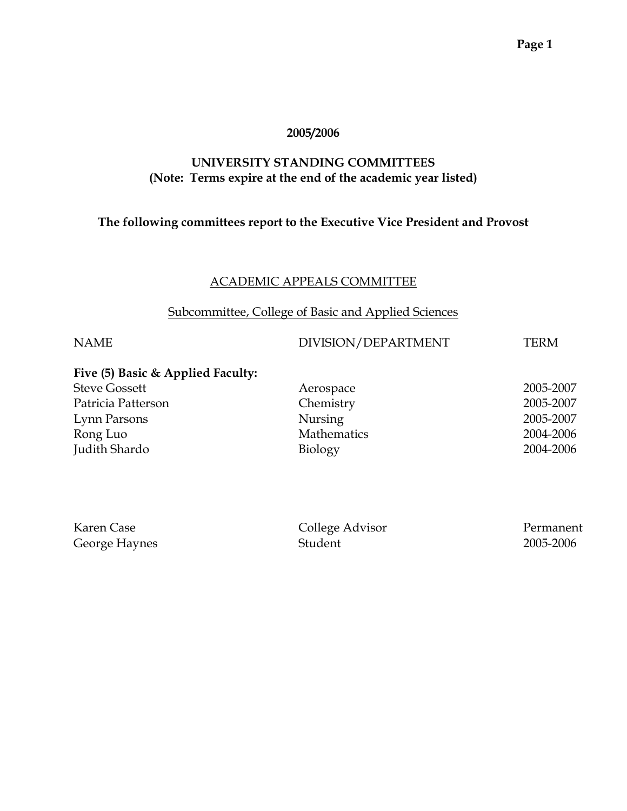#### **2005/2006**

# **UNIVERSITY STANDING COMMITTEES (Note: Terms expire at the end of the academic year listed)**

# **The following committees report to the Executive Vice President and Provost**

### ACADEMIC APPEALS COMMITTEE

# Subcommittee, College of Basic and Applied Sciences

### NAME DIVISION/DEPARTMENT TERM

# **Five (5) Basic & Applied Faculty:**

| <b>Steve Gossett</b> | Aerospace          | 2005-2007 |
|----------------------|--------------------|-----------|
| Patricia Patterson   | Chemistry          | 2005-2007 |
| Lynn Parsons         | Nursing            | 2005-2007 |
| Rong Luo             | <b>Mathematics</b> | 2004-2006 |
| Judith Shardo        | Biology            | 2004-2006 |

| Karen Case    | College Advisor | Permanent |
|---------------|-----------------|-----------|
| George Haynes | Student         | 2005-2006 |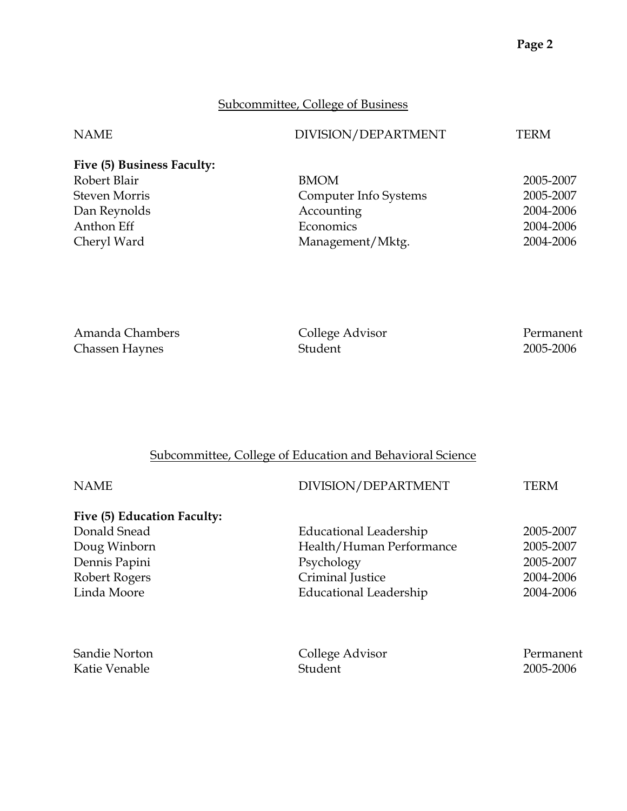# Subcommittee, College of Business

| DIVISION/DEPARTMENT<br>NAME<br>TERM           |           |
|-----------------------------------------------|-----------|
| Five (5) Business Faculty:                    |           |
| Robert Blair<br><b>BMOM</b>                   | 2005-2007 |
| <b>Steven Morris</b><br>Computer Info Systems | 2005-2007 |
| Accounting<br>Dan Reynolds                    | 2004-2006 |
| Anthon Eff<br>Economics                       | 2004-2006 |
| Cheryl Ward<br>Management/Mktg.               | 2004-2006 |

| Amanda Chambers       | College Advisor | Permanent |
|-----------------------|-----------------|-----------|
| <b>Chassen Haynes</b> | Student         | 2005-2006 |

# Subcommittee, College of Education and Behavioral Science

| <b>NAME</b>                 | DIVISION/DEPARTMENT           | TERM      |
|-----------------------------|-------------------------------|-----------|
| Five (5) Education Faculty: |                               |           |
| Donald Snead                | Educational Leadership        | 2005-2007 |
| Doug Winborn                | Health/Human Performance      | 2005-2007 |
| Dennis Papini               | Psychology                    | 2005-2007 |
| Robert Rogers               | Criminal Justice              | 2004-2006 |
| Linda Moore                 | <b>Educational Leadership</b> | 2004-2006 |
| Sandie Norton               | College Advisor               | Permanent |
| Katie Venable               | Student                       | 2005-2006 |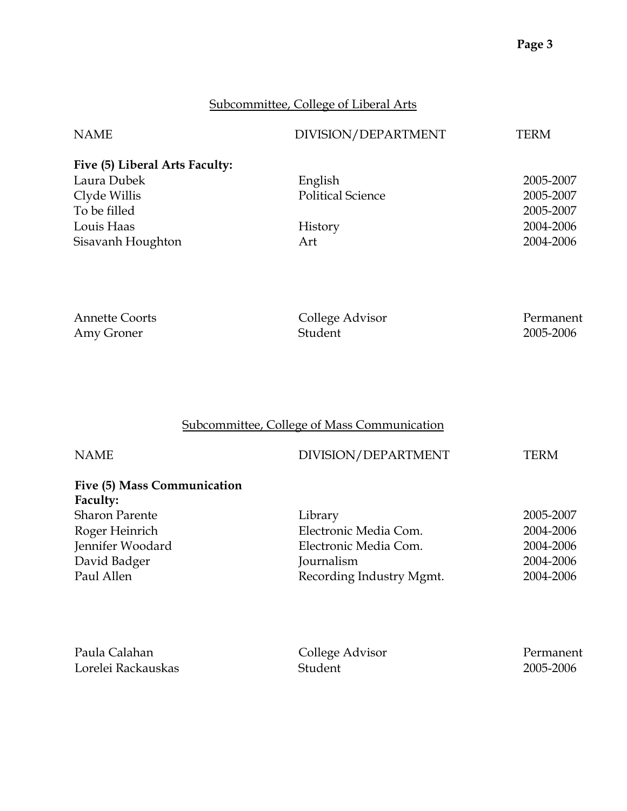# Subcommittee, College of Liberal Arts

| <b>NAME</b>                    | DIVISION/DEPARTMENT      | TERM      |
|--------------------------------|--------------------------|-----------|
| Five (5) Liberal Arts Faculty: |                          |           |
| Laura Dubek                    | English                  | 2005-2007 |
| Clyde Willis                   | <b>Political Science</b> | 2005-2007 |
| To be filled                   |                          | 2005-2007 |
| Louis Haas                     | History                  | 2004-2006 |
| Sisavanh Houghton              | Art                      | 2004-2006 |

| <b>Annette Coorts</b> | College Advisor | Permanent |
|-----------------------|-----------------|-----------|
| Amy Groner            | Student         | 2005-2006 |

# Subcommittee, College of Mass Communication

| <b>NAME</b>                 | DIVISION/DEPARTMENT      | TERM      |
|-----------------------------|--------------------------|-----------|
| Five (5) Mass Communication |                          |           |
| Faculty:                    |                          |           |
| <b>Sharon Parente</b>       | Library                  | 2005-2007 |
| Roger Heinrich              | Electronic Media Com.    | 2004-2006 |
| Jennifer Woodard            | Electronic Media Com.    | 2004-2006 |
| David Badger                | Journalism               | 2004-2006 |
| Paul Allen                  | Recording Industry Mgmt. | 2004-2006 |

| Paula Calahan      | College Advisor | Permanent |
|--------------------|-----------------|-----------|
| Lorelei Rackauskas | Student         | 2005-2006 |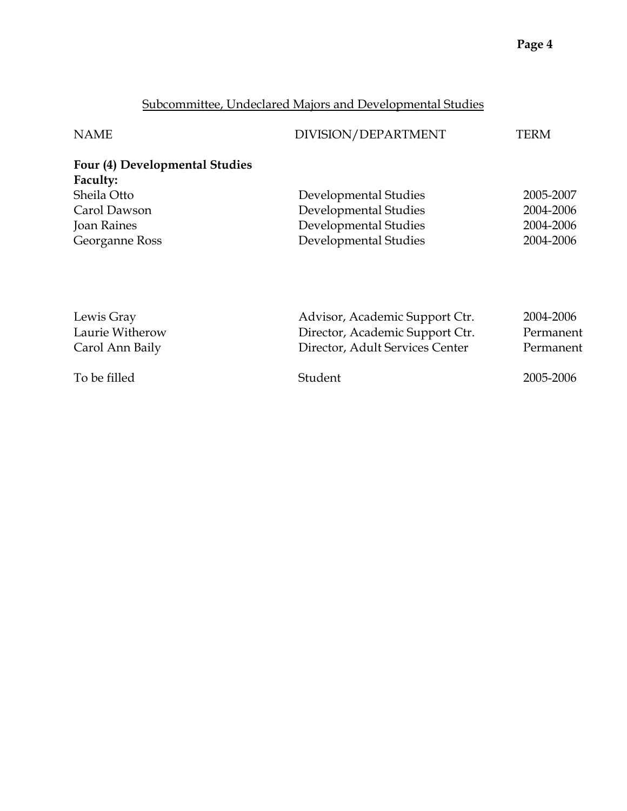# Subcommittee, Undeclared Majors and Developmental Studies

| <b>NAME</b>                    | DIVISION/DEPARTMENT             | TERM      |
|--------------------------------|---------------------------------|-----------|
| Four (4) Developmental Studies |                                 |           |
| Faculty:                       |                                 |           |
| Sheila Otto                    | Developmental Studies           | 2005-2007 |
| Carol Dawson                   | Developmental Studies           | 2004-2006 |
| <b>Joan Raines</b>             | Developmental Studies           | 2004-2006 |
| Georganne Ross                 | Developmental Studies           | 2004-2006 |
|                                |                                 |           |
| Lewis Gray                     | Advisor, Academic Support Ctr.  | 2004-2006 |
| Laurie Witherow                | Director, Academic Support Ctr. | Permanent |

| Laurie Witherow | Director, Academic Support Ctr. | Permanent |
|-----------------|---------------------------------|-----------|
| Carol Ann Baily | Director, Adult Services Center | Permanent |
| To be filled    | Student                         | 2005-2006 |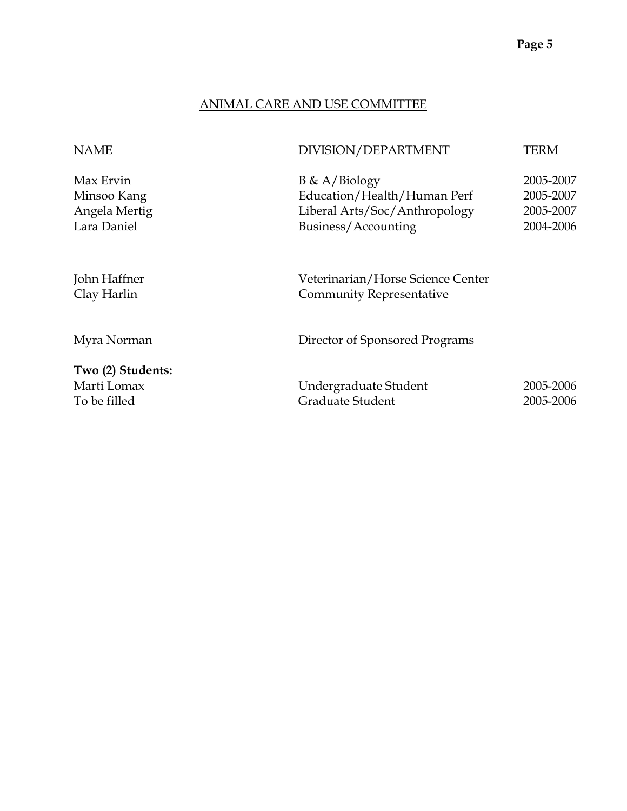# ANIMAL CARE AND USE COMMITTEE

| DIVISION/DEPARTMENT                                                                                     | TERM                                             |
|---------------------------------------------------------------------------------------------------------|--------------------------------------------------|
| $B \& A/Biology$<br>Education/Health/Human Perf<br>Liberal Arts/Soc/Anthropology<br>Business/Accounting | 2005-2007<br>2005-2007<br>2005-2007<br>2004-2006 |
| Veterinarian/Horse Science Center<br><b>Community Representative</b>                                    |                                                  |
| Director of Sponsored Programs                                                                          |                                                  |
| Undergraduate Student<br>Graduate Student                                                               | 2005-2006<br>2005-2006                           |
|                                                                                                         |                                                  |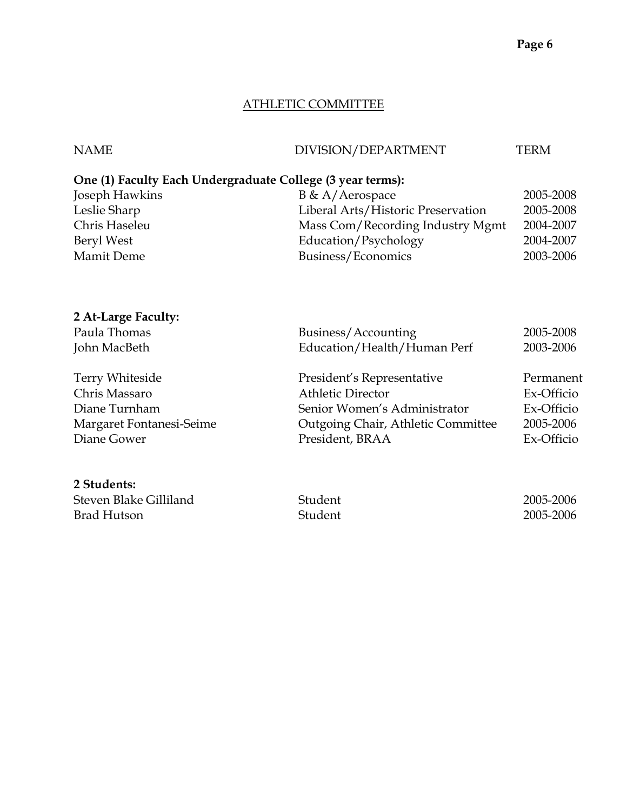# ATHLETIC COMMITTEE

| <b>NAME</b>                                                | DIVISION/DEPARTMENT                       | <b>TERM</b> |
|------------------------------------------------------------|-------------------------------------------|-------------|
| One (1) Faculty Each Undergraduate College (3 year terms): |                                           |             |
| Joseph Hawkins                                             | B & A/Aerospace                           | 2005-2008   |
| Leslie Sharp                                               | Liberal Arts/Historic Preservation        | 2005-2008   |
| Chris Haseleu                                              | Mass Com/Recording Industry Mgmt          | 2004-2007   |
| Beryl West                                                 | Education/Psychology                      | 2004-2007   |
| Mamit Deme                                                 | Business/Economics                        | 2003-2006   |
|                                                            |                                           |             |
| 2 At-Large Faculty:                                        |                                           |             |
| Paula Thomas                                               | Business/Accounting                       | 2005-2008   |
| John MacBeth                                               | Education/Health/Human Perf               | 2003-2006   |
| <b>Terry Whiteside</b>                                     | President's Representative                | Permanent   |
| Chris Massaro                                              | <b>Athletic Director</b>                  | Ex-Officio  |
| Diane Turnham                                              | Senior Women's Administrator              | Ex-Officio  |
| Margaret Fontanesi-Seime                                   | <b>Outgoing Chair, Athletic Committee</b> | 2005-2006   |
| Diane Gower                                                | President, BRAA                           | Ex-Officio  |
| 2 Students:                                                |                                           |             |
| Steven Blake Gilliland                                     | Student                                   | 2005-2006   |
| <b>Brad Hutson</b>                                         | Student                                   | 2005-2006   |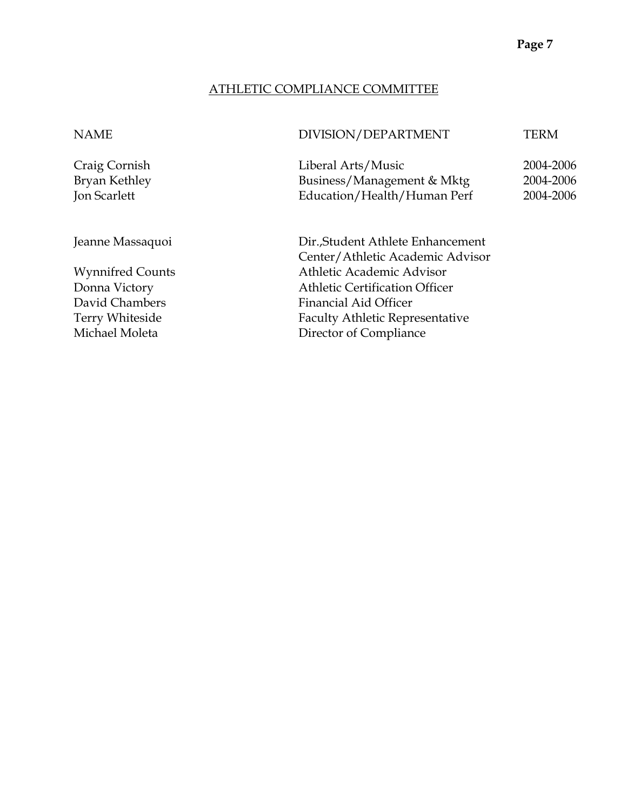#### ATHLETIC COMPLIANCE COMMITTEE

#### NAME DIVISION/DEPARTMENT TERM

Craig Cornish Liberal Arts/Music 2004-2006 Bryan Kethley Business/Management & Mktg 2004-2006 Jon Scarlett Education/Health/Human Perf 2004-2006

Jeanne Massaquoi Dir.,Student Athlete Enhancement Center/Athletic Academic Advisor Wynnifred Counts **Athletic Academic Advisor** Donna Victory Athletic Certification Officer David Chambers Financial Aid Officer Terry Whiteside Faculty Athletic Representative Michael Moleta **Director of Compliance**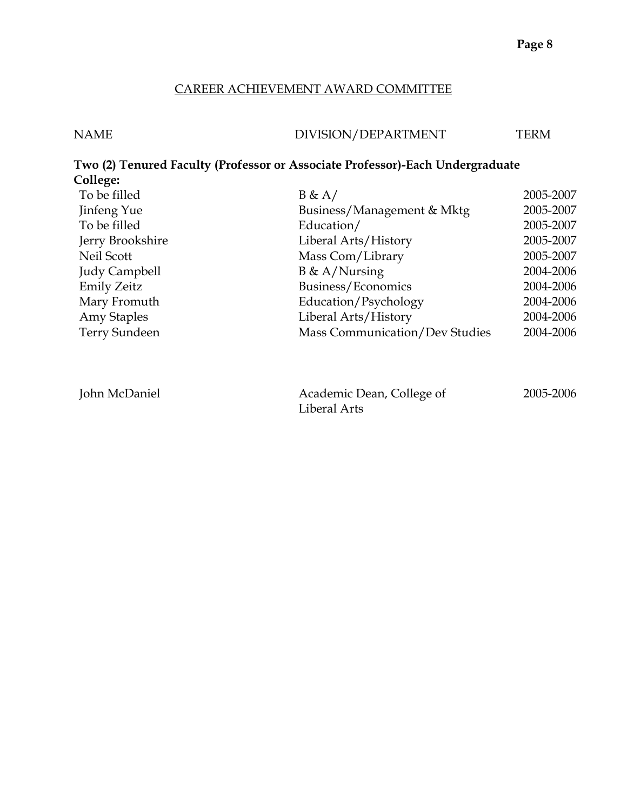# CAREER ACHIEVEMENT AWARD COMMITTEE

| <b>NAME</b> | DIVISION/DEPARTMENT                                                           | <b>TERM</b> |
|-------------|-------------------------------------------------------------------------------|-------------|
| College:    | Two (2) Tenured Faculty (Professor or Associate Professor)-Each Undergraduate |             |

| College:             |                                |           |
|----------------------|--------------------------------|-----------|
| To be filled         | B & A/                         | 2005-2007 |
| Jinfeng Yue          | Business/Management & Mktg     | 2005-2007 |
| To be filled         | Education/                     | 2005-2007 |
| Jerry Brookshire     | Liberal Arts/History           | 2005-2007 |
| Neil Scott           | Mass Com/Library               | 2005-2007 |
| <b>Judy Campbell</b> | $B \& A/Nursing$               | 2004-2006 |
| <b>Emily Zeitz</b>   | Business/Economics             | 2004-2006 |
| Mary Fromuth         | Education/Psychology           | 2004-2006 |
| Amy Staples          | Liberal Arts/History           | 2004-2006 |
| <b>Terry Sundeen</b> | Mass Communication/Dev Studies | 2004-2006 |
|                      |                                |           |
|                      |                                |           |
|                      |                                |           |

| John McDaniel | Academic Dean, College of | 2005-2006 |
|---------------|---------------------------|-----------|
|               | Liberal Arts              |           |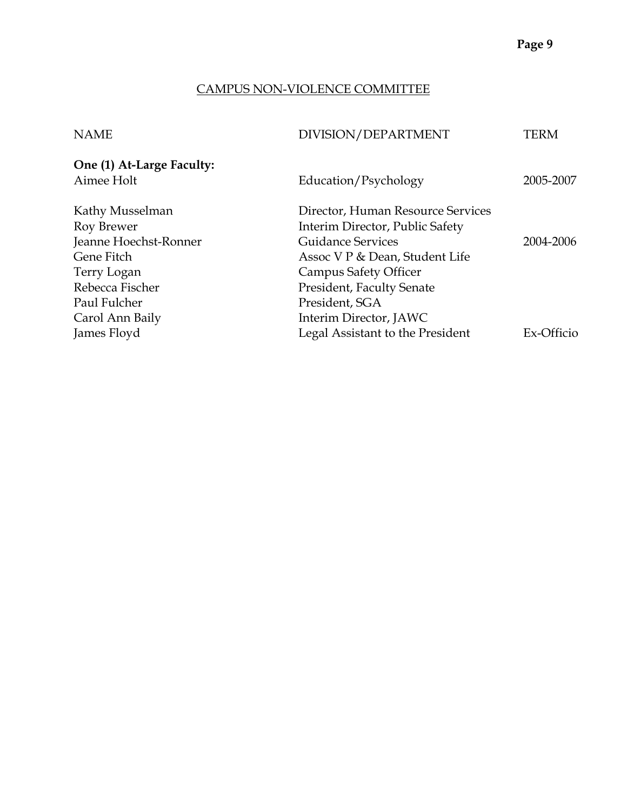# CAMPUS NON-VIOLENCE COMMITTEE

| DIVISION/DEPARTMENT               | TERM                 |
|-----------------------------------|----------------------|
|                                   |                      |
|                                   | 2005-2007            |
| Director, Human Resource Services |                      |
| Interim Director, Public Safety   |                      |
| <b>Guidance Services</b>          | 2004-2006            |
| Assoc V P & Dean, Student Life    |                      |
| <b>Campus Safety Officer</b>      |                      |
| <b>President, Faculty Senate</b>  |                      |
| President, SGA                    |                      |
| Interim Director, JAWC            |                      |
| Legal Assistant to the President  | Ex-Officio           |
|                                   | Education/Psychology |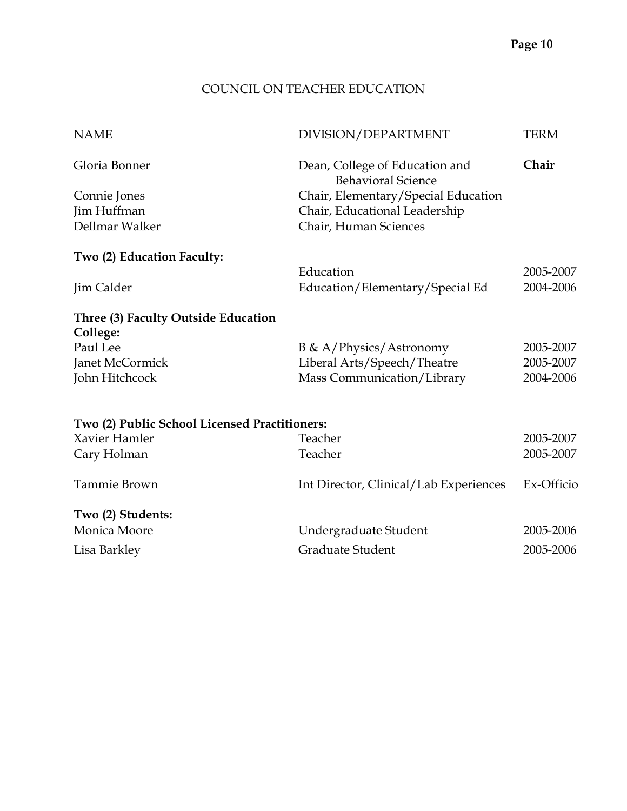# COUNCIL ON TEACHER EDUCATION

| <b>NAME</b>                                   | DIVISION/DEPARTMENT                                         | <b>TERM</b> |
|-----------------------------------------------|-------------------------------------------------------------|-------------|
| Gloria Bonner                                 | Dean, College of Education and<br><b>Behavioral Science</b> | Chair       |
| Connie Jones                                  | Chair, Elementary/Special Education                         |             |
| Jim Huffman                                   | Chair, Educational Leadership                               |             |
| Dellmar Walker                                | Chair, Human Sciences                                       |             |
| Two (2) Education Faculty:                    |                                                             |             |
|                                               | Education                                                   | 2005-2007   |
| Jim Calder                                    | Education/Elementary/Special Ed                             | 2004-2006   |
| Three (3) Faculty Outside Education           |                                                             |             |
| College:                                      |                                                             |             |
| Paul Lee                                      | $B \& A/P$ hysics/Astronomy                                 | 2005-2007   |
| Janet McCormick                               | Liberal Arts/Speech/Theatre                                 | 2005-2007   |
| John Hitchcock                                | Mass Communication/Library                                  | 2004-2006   |
|                                               |                                                             |             |
| Two (2) Public School Licensed Practitioners: |                                                             |             |
| Xavier Hamler                                 | Teacher                                                     | 2005-2007   |
| Cary Holman                                   | Teacher                                                     | 2005-2007   |
| Tammie Brown                                  | Int Director, Clinical/Lab Experiences                      | Ex-Officio  |
| Two (2) Students:                             |                                                             |             |
| Monica Moore                                  | Undergraduate Student                                       | 2005-2006   |
| Lisa Barkley                                  | Graduate Student                                            | 2005-2006   |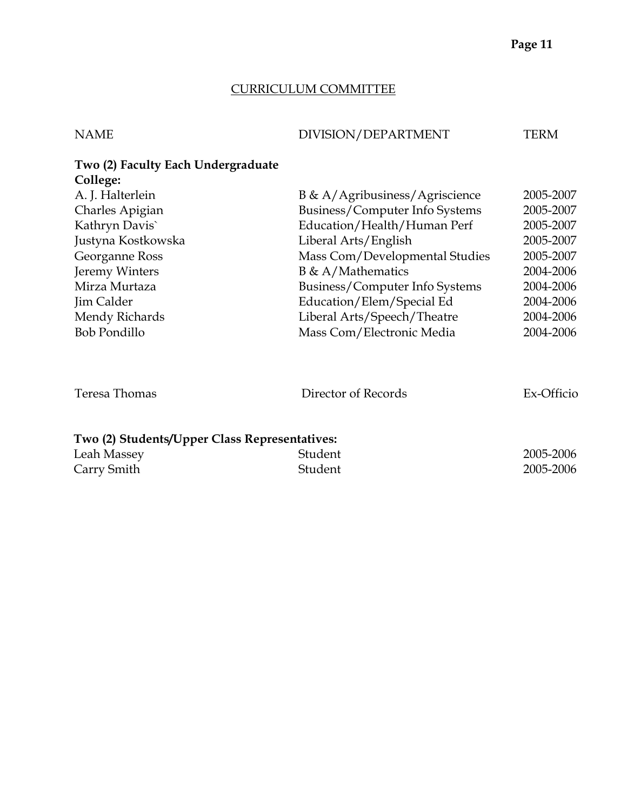# CURRICULUM COMMITTEE

| <b>NAME</b>                                    | DIVISION/DEPARTMENT            | TERM       |
|------------------------------------------------|--------------------------------|------------|
| Two (2) Faculty Each Undergraduate<br>College: |                                |            |
| A. J. Halterlein                               | B & A/Agribusiness/Agriscience | 2005-2007  |
| Charles Apigian                                | Business/Computer Info Systems | 2005-2007  |
| Kathryn Davis`                                 | Education/Health/Human Perf    | 2005-2007  |
| Justyna Kostkowska                             | Liberal Arts/English           | 2005-2007  |
| Georganne Ross                                 | Mass Com/Developmental Studies | 2005-2007  |
| Jeremy Winters                                 | $B \& A/Mathematics$           | 2004-2006  |
| Mirza Murtaza                                  | Business/Computer Info Systems | 2004-2006  |
| Jim Calder                                     | Education/Elem/Special Ed      | 2004-2006  |
| Mendy Richards                                 | Liberal Arts/Speech/Theatre    | 2004-2006  |
| <b>Bob Pondillo</b>                            | Mass Com/Electronic Media      | 2004-2006  |
| Teresa Thomas                                  | Director of Records            | Ex-Officio |
| Two (2) Students/Upper Class Representatives:  |                                |            |
| Leah Massey                                    | Student                        | 2005-2006  |
| Carry Smith                                    | Student                        | 2005-2006  |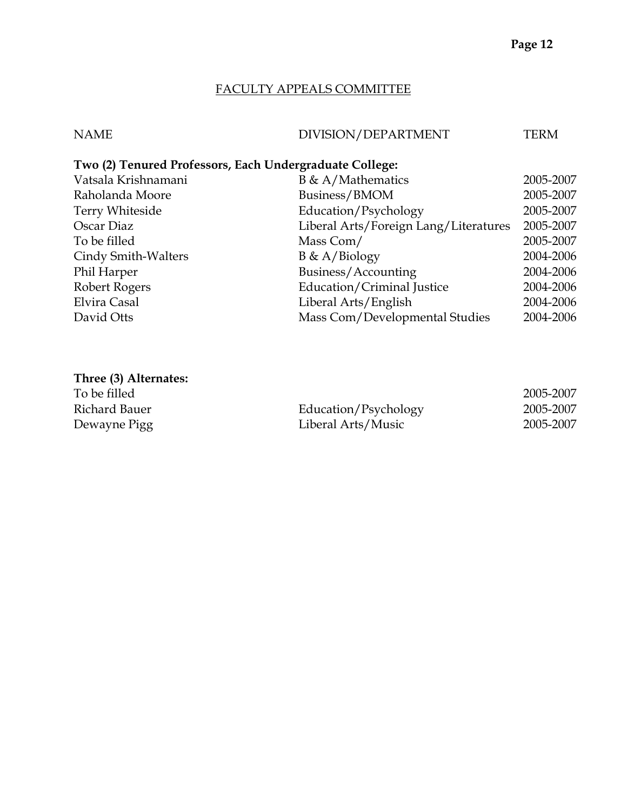# FACULTY APPEALS COMMITTEE

| NAME | DIVISION/DEPARTMENT | TERM |
|------|---------------------|------|

# **Two (2) Tenured Professors, Each Undergraduate College:**

| Vatsala Krishnamani    | $B \& A/Mathematics$                  | 2005-2007 |
|------------------------|---------------------------------------|-----------|
| Raholanda Moore        | Business/BMOM                         | 2005-2007 |
| <b>Terry Whiteside</b> | Education/Psychology                  | 2005-2007 |
| Oscar Diaz             | Liberal Arts/Foreign Lang/Literatures | 2005-2007 |
| To be filled           | Mass Com/                             | 2005-2007 |
| Cindy Smith-Walters    | $B \& A/Biology$                      | 2004-2006 |
| Phil Harper            | Business/Accounting                   | 2004-2006 |
| Robert Rogers          | Education/Criminal Justice            | 2004-2006 |
| Elvira Casal           | Liberal Arts/English                  | 2004-2006 |
| David Otts             | Mass Com/Developmental Studies        | 2004-2006 |

# **Three (3) Alternates:**

| To be filled  |                      | 2005-2007 |
|---------------|----------------------|-----------|
| Richard Bauer | Education/Psychology | 2005-2007 |
| Dewayne Pigg  | Liberal Arts/Music   | 2005-2007 |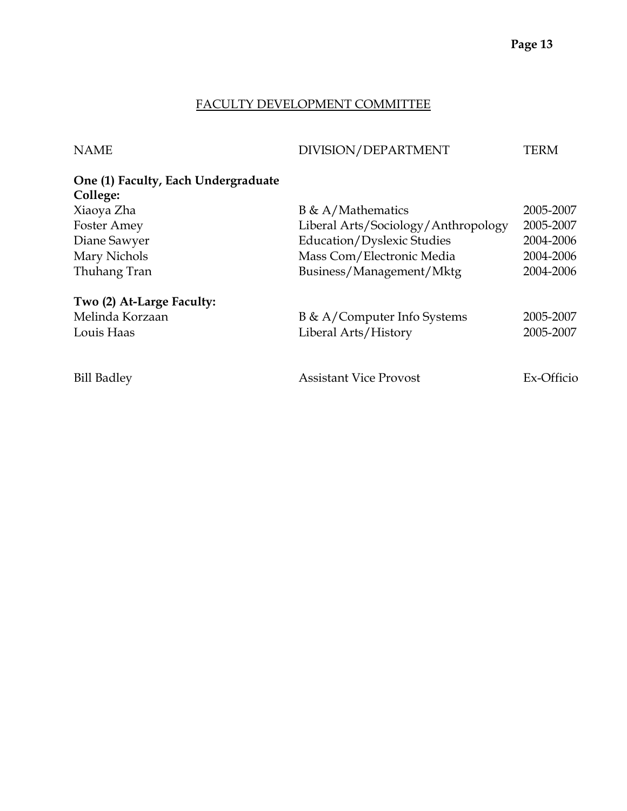# FACULTY DEVELOPMENT COMMITTEE

| <b>NAME</b>                                     | DIVISION/DEPARTMENT                 | TERM       |
|-------------------------------------------------|-------------------------------------|------------|
| One (1) Faculty, Each Undergraduate<br>College: |                                     |            |
| Xiaoya Zha                                      | $B \& A/Mathematics$                | 2005-2007  |
| <b>Foster Amey</b>                              | Liberal Arts/Sociology/Anthropology | 2005-2007  |
| Diane Sawyer                                    | <b>Education/Dyslexic Studies</b>   | 2004-2006  |
| Mary Nichols                                    | Mass Com/Electronic Media           | 2004-2006  |
| Thuhang Tran                                    | Business/Management/Mktg            | 2004-2006  |
| Two (2) At-Large Faculty:                       |                                     |            |
| Melinda Korzaan                                 | B & A/Computer Info Systems         | 2005-2007  |
| Louis Haas                                      | Liberal Arts/History                | 2005-2007  |
|                                                 |                                     |            |
| <b>Bill Badley</b>                              | Assistant Vice Provost              | Ex-Officio |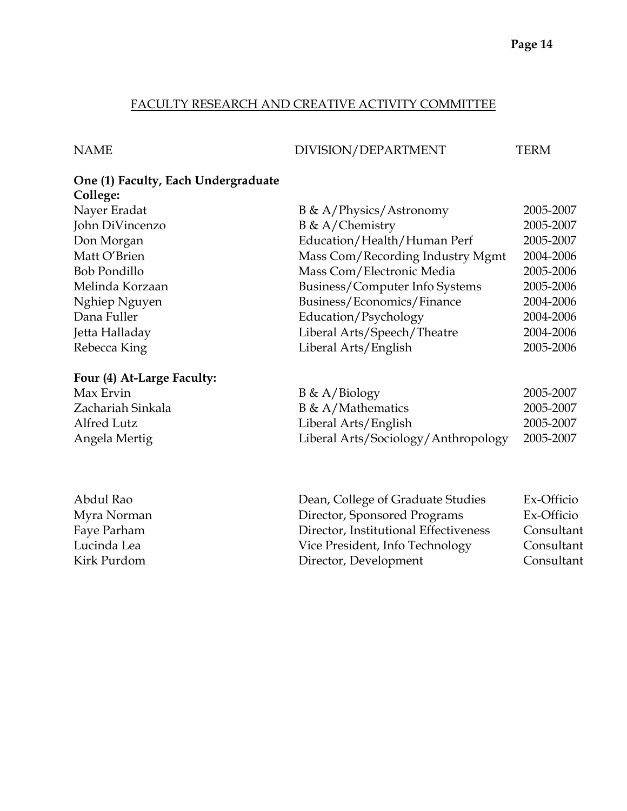# FACULTY RESEARCH AND CREATIVE ACTIVITY COMMITTEE

# NAME DIVISION/DEPARTMENT TERM

#### **One (1) Faculty, Each Undergraduate College:**

| Nayer Eradat        | B & A/Physics/Astronomy          | 2005-2007 |
|---------------------|----------------------------------|-----------|
| John DiVincenzo     | $B \& A/Chemistry$               | 2005-2007 |
| Don Morgan          | Education/Health/Human Perf      | 2005-2007 |
| Matt O'Brien        | Mass Com/Recording Industry Mgmt | 2004-2006 |
| <b>Bob Pondillo</b> | Mass Com/Electronic Media        | 2005-2006 |
| Melinda Korzaan     | Business/Computer Info Systems   | 2005-2006 |
| Nghiep Nguyen       | Business/Economics/Finance       | 2004-2006 |
| Dana Fuller         | Education/Psychology             | 2004-2006 |
| Jetta Halladay      | Liberal Arts/Speech/Theatre      | 2004-2006 |
| Rebecca King        | Liberal Arts/English             | 2005-2006 |
|                     |                                  |           |
|                     |                                  |           |

# **Four (4) At-Large Faculty:**

| Max Ervin         | $B \& A/Biology$                    | 2005-2007 |
|-------------------|-------------------------------------|-----------|
| Zachariah Sinkala | $B \& A/Mathematics$                | 2005-2007 |
| Alfred Lutz       | Liberal Arts/English                | 2005-2007 |
| Angela Mertig     | Liberal Arts/Sociology/Anthropology | 2005-2007 |

| Abdul Rao   | Dean, College of Graduate Studies     | Ex-Officio |
|-------------|---------------------------------------|------------|
| Myra Norman | Director, Sponsored Programs          | Ex-Officio |
| Faye Parham | Director, Institutional Effectiveness | Consultant |
| Lucinda Lea | Vice President, Info Technology       | Consultant |
| Kirk Purdom | Director, Development                 | Consultant |
|             |                                       |            |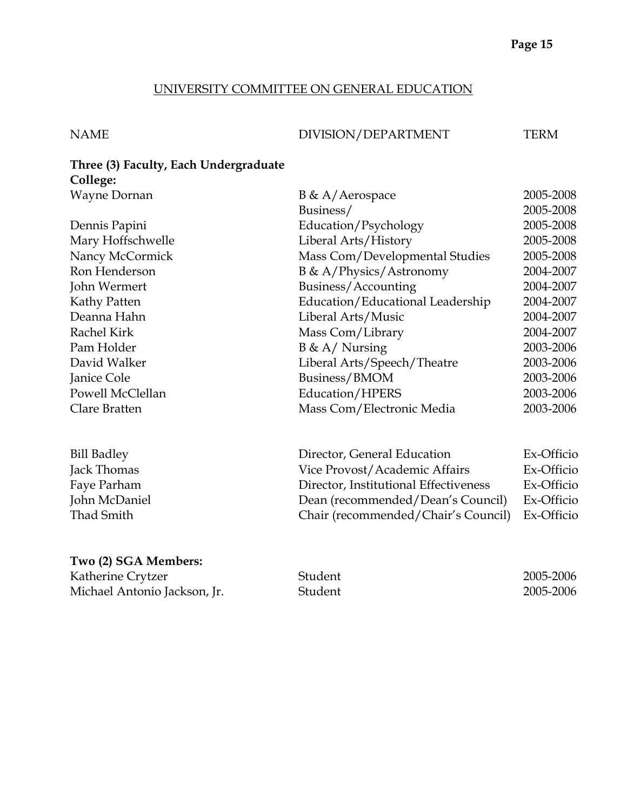#### UNIVERSITY COMMITTEE ON GENERAL EDUCATION

# NAME DIVISION/DEPARTMENT TERM

# **Three (3) Faculty, Each Undergraduate College:**

| Wayne Dornan       | $B \& A/Aerospace$               | 2005-2008  |
|--------------------|----------------------------------|------------|
|                    | Business/                        | 2005-2008  |
| Dennis Papini      | Education/Psychology             | 2005-2008  |
| Mary Hoffschwelle  | Liberal Arts/History             | 2005-2008  |
| Nancy McCormick    | Mass Com/Developmental Studies   | 2005-2008  |
| Ron Henderson      | B & A/Physics/Astronomy          | 2004-2007  |
| John Wermert       | Business/Accounting              | 2004-2007  |
| Kathy Patten       | Education/Educational Leadership | 2004-2007  |
| Deanna Hahn        | Liberal Arts/Music               | 2004-2007  |
| Rachel Kirk        | Mass Com/Library                 | 2004-2007  |
| Pam Holder         | $B \& A /$ Nursing               | 2003-2006  |
| David Walker       | Liberal Arts/Speech/Theatre      | 2003-2006  |
| Janice Cole        | Business/BMOM                    | 2003-2006  |
| Powell McClellan   | Education/HPERS                  | 2003-2006  |
| Clare Bratten      | Mass Com/Electronic Media        | 2003-2006  |
| <b>Bill Badley</b> | Director, General Education      | Ex-Officio |

| $\sim$ $\sim$ $\sim$ $\sim$ $\sim$ $\sim$ $\sim$ |                                                |            |
|--------------------------------------------------|------------------------------------------------|------------|
| Jack Thomas                                      | Vice Provost/Academic Affairs                  | Ex-Officio |
| Faye Parham                                      | Director, Institutional Effectiveness          | Ex-Officio |
| John McDaniel                                    | Dean (recommended/Dean's Council)              | Ex-Officio |
| Thad Smith                                       | Chair (recommended/Chair's Council) Ex-Officio |            |
|                                                  |                                                |            |

### **Two (2) SGA Members:**

| Katherine Crytzer            | Student | 2005-2006 |
|------------------------------|---------|-----------|
| Michael Antonio Jackson, Jr. | Student | 2005-2006 |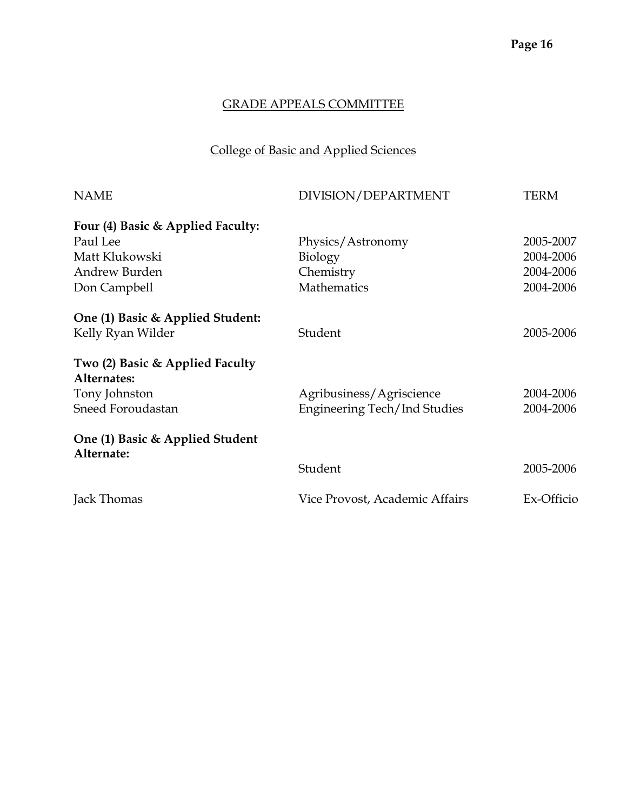# College of Basic and Applied Sciences

| <b>NAME</b>                                    | DIVISION/DEPARTMENT            | <b>TERM</b> |
|------------------------------------------------|--------------------------------|-------------|
| Four (4) Basic & Applied Faculty:              |                                |             |
| Paul Lee                                       | Physics/Astronomy              | 2005-2007   |
| Matt Klukowski                                 | Biology                        | 2004-2006   |
| Andrew Burden                                  | Chemistry                      | 2004-2006   |
| Don Campbell                                   | Mathematics                    | 2004-2006   |
| One (1) Basic & Applied Student:               |                                |             |
| Kelly Ryan Wilder                              | Student                        | 2005-2006   |
| Two (2) Basic & Applied Faculty<br>Alternates: |                                |             |
| Tony Johnston                                  | Agribusiness/Agriscience       | 2004-2006   |
| Sneed Foroudastan                              | Engineering Tech/Ind Studies   | 2004-2006   |
| One (1) Basic & Applied Student<br>Alternate:  |                                |             |
|                                                | Student                        | 2005-2006   |
| Jack Thomas                                    | Vice Provost, Academic Affairs | Ex-Officio  |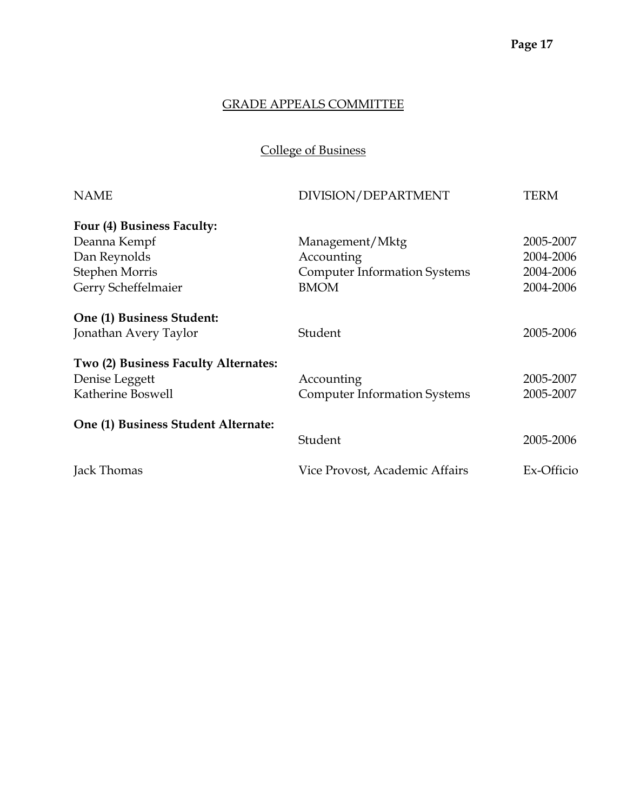College of Business

| <b>NAME</b>                          | DIVISION/DEPARTMENT                 | TERM       |
|--------------------------------------|-------------------------------------|------------|
| Four (4) Business Faculty:           |                                     |            |
| Deanna Kempf                         | Management/Mktg                     | 2005-2007  |
| Dan Reynolds                         | Accounting                          | 2004-2006  |
| <b>Stephen Morris</b>                | <b>Computer Information Systems</b> | 2004-2006  |
| Gerry Scheffelmaier                  | <b>BMOM</b>                         | 2004-2006  |
| One (1) Business Student:            |                                     |            |
| Jonathan Avery Taylor                | Student                             | 2005-2006  |
| Two (2) Business Faculty Alternates: |                                     |            |
| Denise Leggett                       | Accounting                          | 2005-2007  |
| Katherine Boswell                    | <b>Computer Information Systems</b> | 2005-2007  |
| One (1) Business Student Alternate:  |                                     |            |
|                                      | Student                             | 2005-2006  |
| Jack Thomas                          | Vice Provost, Academic Affairs      | Ex-Officio |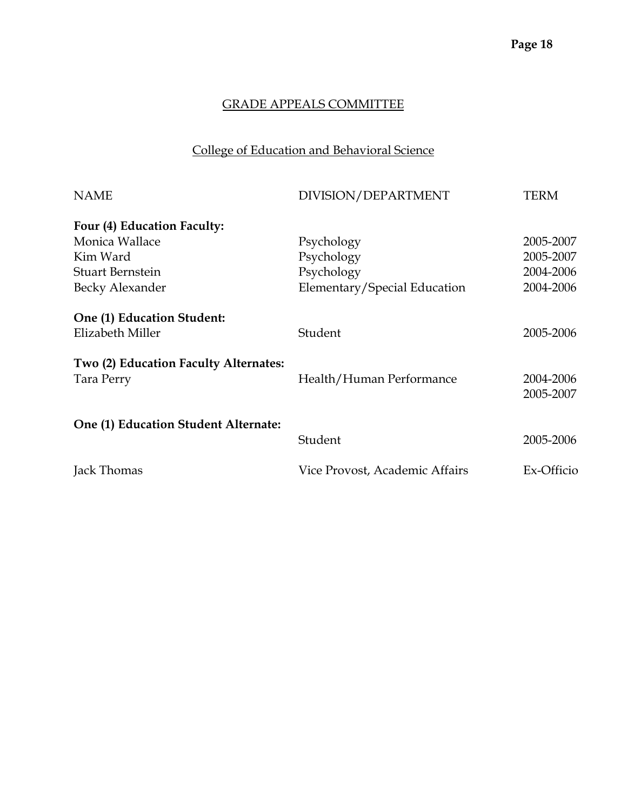# College of Education and Behavioral Science

| <b>NAME</b>                           | DIVISION/DEPARTMENT            | TERM       |
|---------------------------------------|--------------------------------|------------|
| Four (4) Education Faculty:           |                                |            |
| Monica Wallace                        | Psychology                     | 2005-2007  |
| Kim Ward                              | Psychology                     | 2005-2007  |
| <b>Stuart Bernstein</b>               | Psychology                     | 2004-2006  |
| Becky Alexander                       | Elementary/Special Education   | 2004-2006  |
| One (1) Education Student:            |                                |            |
| Elizabeth Miller                      | Student                        | 2005-2006  |
| Two (2) Education Faculty Alternates: |                                |            |
| Tara Perry                            | Health/Human Performance       | 2004-2006  |
|                                       |                                | 2005-2007  |
| One (1) Education Student Alternate:  |                                |            |
|                                       | Student                        | 2005-2006  |
| Jack Thomas                           | Vice Provost, Academic Affairs | Ex-Officio |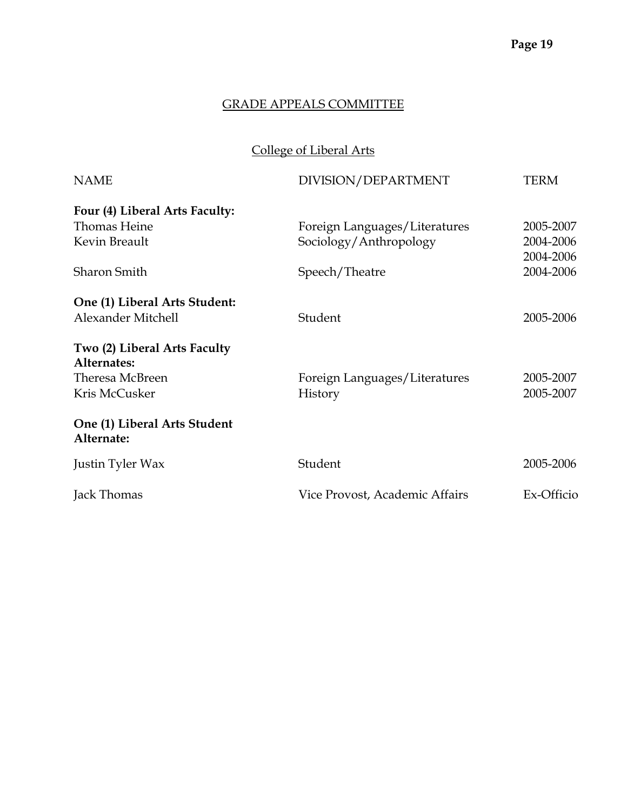# College of Liberal Arts

| <b>NAME</b>                                 | DIVISION/DEPARTMENT            | TERM       |
|---------------------------------------------|--------------------------------|------------|
| Four (4) Liberal Arts Faculty:              |                                |            |
| Thomas Heine                                | Foreign Languages/Literatures  | 2005-2007  |
| Kevin Breault                               | Sociology/Anthropology         | 2004-2006  |
|                                             |                                | 2004-2006  |
| <b>Sharon Smith</b>                         | Speech/Theatre                 | 2004-2006  |
| One (1) Liberal Arts Student:               |                                |            |
| Alexander Mitchell                          | Student                        | 2005-2006  |
| Two (2) Liberal Arts Faculty<br>Alternates: |                                |            |
| Theresa McBreen                             | Foreign Languages/Literatures  | 2005-2007  |
| Kris McCusker                               | History                        | 2005-2007  |
| One (1) Liberal Arts Student<br>Alternate:  |                                |            |
| Justin Tyler Wax                            | Student                        | 2005-2006  |
| Jack Thomas                                 | Vice Provost, Academic Affairs | Ex-Officio |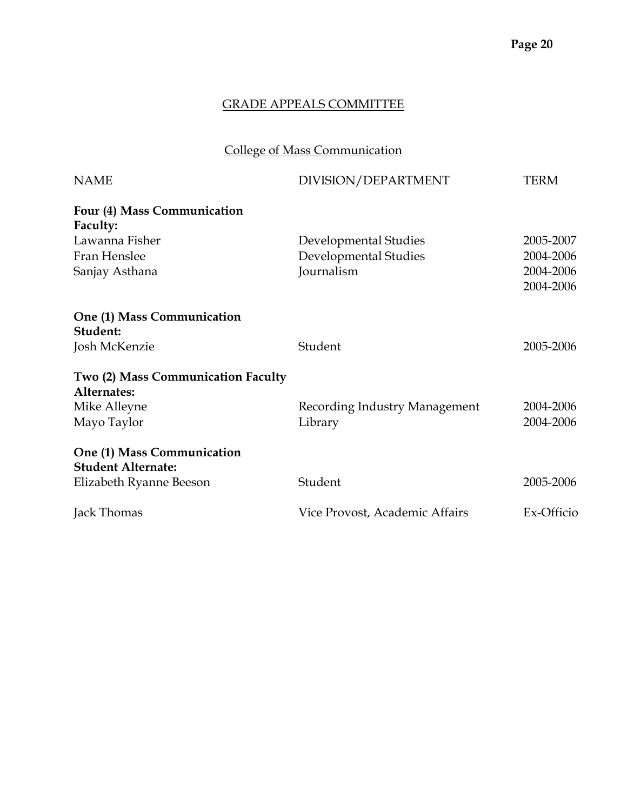# College of Mass Communication

| <b>NAME</b>                                             | DIVISION/DEPARTMENT            | TERM       |
|---------------------------------------------------------|--------------------------------|------------|
| Four (4) Mass Communication<br>Faculty:                 |                                |            |
| Lawanna Fisher                                          | Developmental Studies          | 2005-2007  |
| Fran Henslee                                            | Developmental Studies          | 2004-2006  |
| Sanjay Asthana                                          | Journalism                     | 2004-2006  |
|                                                         |                                | 2004-2006  |
| One (1) Mass Communication<br>Student:                  |                                |            |
| Josh McKenzie                                           | Student                        | 2005-2006  |
| Two (2) Mass Communication Faculty<br>Alternates:       |                                |            |
| Mike Alleyne                                            | Recording Industry Management  | 2004-2006  |
| Mayo Taylor                                             | Library                        | 2004-2006  |
| One (1) Mass Communication<br><b>Student Alternate:</b> |                                |            |
| Elizabeth Ryanne Beeson                                 | Student                        | 2005-2006  |
| Jack Thomas                                             | Vice Provost, Academic Affairs | Ex-Officio |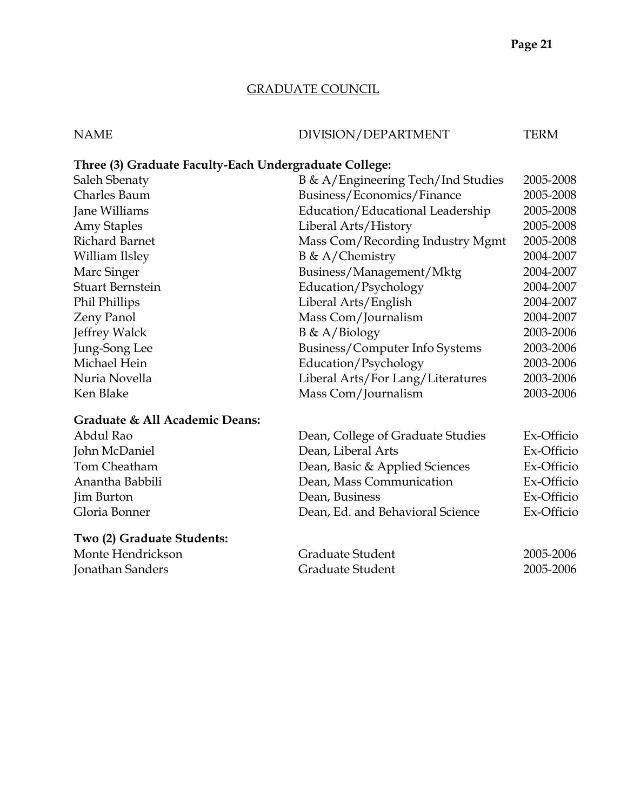# GRADUATE COUNCIL

| <b>NAME</b>                                            | DIVISION/DEPARTMENT                | <b>TERM</b> |
|--------------------------------------------------------|------------------------------------|-------------|
| Three (3) Graduate Faculty-Each Undergraduate College: |                                    |             |
| Saleh Sbenaty                                          | B & A/Engineering Tech/Ind Studies | 2005-2008   |
| <b>Charles Baum</b>                                    | Business/Economics/Finance         | 2005-2008   |
| Jane Williams                                          | Education/Educational Leadership   | 2005-2008   |
| <b>Amy Staples</b>                                     | Liberal Arts/History               | 2005-2008   |
| <b>Richard Barnet</b>                                  | Mass Com/Recording Industry Mgmt   | 2005-2008   |
| William Ilsley                                         | $B \& A/Chemistry$                 | 2004-2007   |
| Marc Singer                                            | Business/Management/Mktg           | 2004-2007   |
| <b>Stuart Bernstein</b>                                | Education/Psychology               | 2004-2007   |
| Phil Phillips                                          | Liberal Arts/English               | 2004-2007   |
| Zeny Panol                                             | Mass Com/Journalism                | 2004-2007   |
| Jeffrey Walck                                          | $B \& A/Biology$                   | 2003-2006   |
| Jung-Song Lee                                          | Business/Computer Info Systems     | 2003-2006   |
| Michael Hein                                           | Education/Psychology               | 2003-2006   |
| Nuria Novella                                          | Liberal Arts/For Lang/Literatures  | 2003-2006   |
| Ken Blake                                              | Mass Com/Journalism                | 2003-2006   |
| Graduate & All Academic Deans:                         |                                    |             |
| Abdul Rao                                              | Dean, College of Graduate Studies  | Ex-Officio  |
| John McDaniel                                          | Dean, Liberal Arts                 | Ex-Officio  |
| Tom Cheatham                                           | Dean, Basic & Applied Sciences     | Ex-Officio  |
| Anantha Babbili                                        | Dean, Mass Communication           | Ex-Officio  |
| Jim Burton                                             | Dean, Business                     | Ex-Officio  |
| Gloria Bonner                                          | Dean, Ed. and Behavioral Science   | Ex-Officio  |
| Two (2) Graduate Students:                             |                                    |             |
| Monte Hendrickson                                      | Graduate Student                   | 2005-2006   |
| Jonathan Sanders                                       | Graduate Student                   | 2005-2006   |
|                                                        |                                    |             |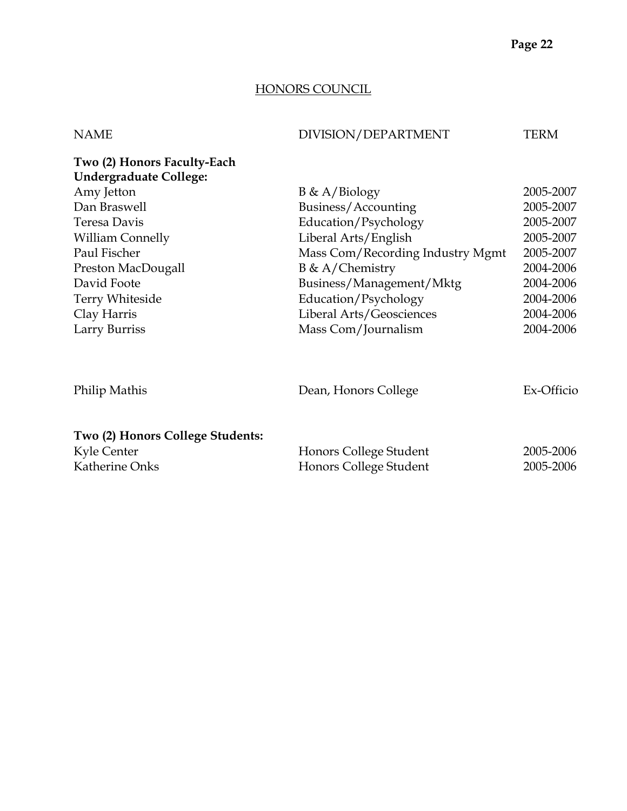# HONORS COUNCIL

| <b>NAME</b>                                                  | DIVISION/DEPARTMENT              | TERM       |
|--------------------------------------------------------------|----------------------------------|------------|
| Two (2) Honors Faculty-Each<br><b>Undergraduate College:</b> |                                  |            |
| Amy Jetton                                                   | $B \& A/Biology$                 | 2005-2007  |
| Dan Braswell                                                 | Business/Accounting              | 2005-2007  |
| Teresa Davis                                                 | Education/Psychology             | 2005-2007  |
| <b>William Connelly</b>                                      | Liberal Arts/English             | 2005-2007  |
| Paul Fischer                                                 | Mass Com/Recording Industry Mgmt | 2005-2007  |
| Preston MacDougall                                           | $B \& A/Chemistry$               | 2004-2006  |
| David Foote                                                  | Business/Management/Mktg         | 2004-2006  |
| Terry Whiteside                                              | Education/Psychology             | 2004-2006  |
| Clay Harris                                                  | Liberal Arts/Geosciences         | 2004-2006  |
| Larry Burriss                                                | Mass Com/Journalism              | 2004-2006  |
| Philip Mathis                                                | Dean, Honors College             | Ex-Officio |
|                                                              |                                  |            |
| Two (2) Honors College Students:                             |                                  |            |
| Kyle Center                                                  | Honors College Student           | 2005-2006  |
| Katherine Onks                                               | Honors College Student           | 2005-2006  |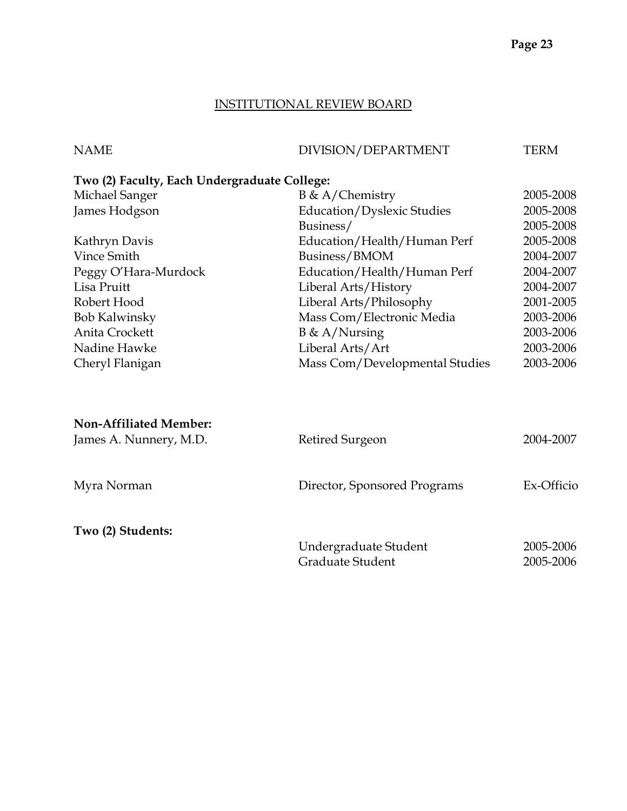# INSTITUTIONAL REVIEW BOARD

| <b>NAME</b>                                  | DIVISION/DEPARTMENT            | <b>TERM</b> |
|----------------------------------------------|--------------------------------|-------------|
| Two (2) Faculty, Each Undergraduate College: |                                |             |
| Michael Sanger                               | $B \& A/Chemistry$             | 2005-2008   |
| James Hodgson                                | Education/Dyslexic Studies     | 2005-2008   |
|                                              | Business/                      | 2005-2008   |
| Kathryn Davis                                | Education/Health/Human Perf    | 2005-2008   |
| Vince Smith                                  | Business/BMOM                  | 2004-2007   |
| Peggy O'Hara-Murdock                         | Education/Health/Human Perf    | 2004-2007   |
| Lisa Pruitt                                  | Liberal Arts/History           | 2004-2007   |
| Robert Hood                                  | Liberal Arts/Philosophy        | 2001-2005   |
| <b>Bob Kalwinsky</b>                         | Mass Com/Electronic Media      | 2003-2006   |
| Anita Crockett                               | $B \& A/Nursing$               | 2003-2006   |
| Nadine Hawke                                 | Liberal Arts/Art               | 2003-2006   |
| Cheryl Flanigan                              | Mass Com/Developmental Studies | 2003-2006   |
|                                              |                                |             |
| <b>Non-Affiliated Member:</b>                |                                |             |
| James A. Nunnery, M.D.                       | Retired Surgeon                | 2004-2007   |
| Myra Norman                                  | Director, Sponsored Programs   | Ex-Officio  |
|                                              |                                |             |

**Two (2) Students:** 

| Undergraduate Student | 2005-2006 |
|-----------------------|-----------|
| Graduate Student      | 2005-2006 |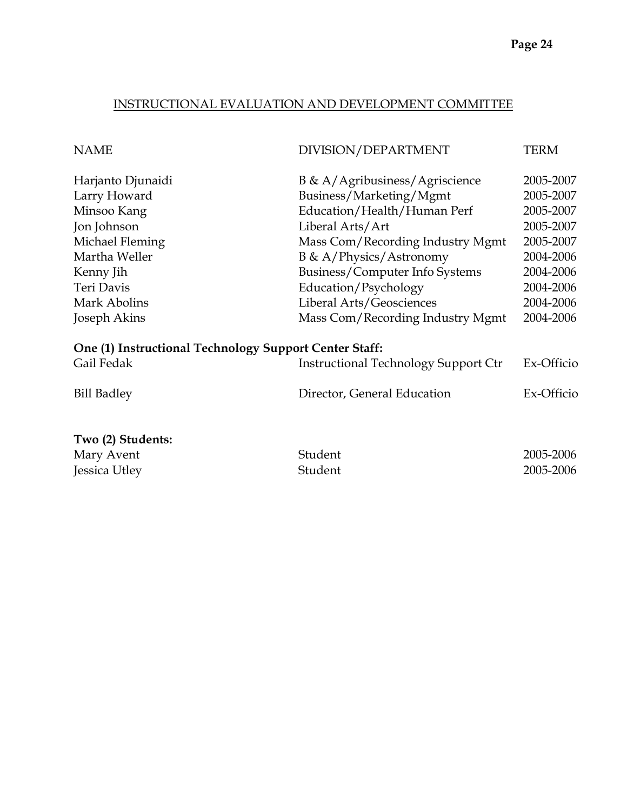# INSTRUCTIONAL EVALUATION AND DEVELOPMENT COMMITTEE

| <b>NAME</b>                                            | DIVISION/DEPARTMENT                         | TERM                   |
|--------------------------------------------------------|---------------------------------------------|------------------------|
| Harjanto Djunaidi                                      | $B \& A/$ Agribusiness/Agriscience          | 2005-2007              |
| Larry Howard                                           | Business/Marketing/Mgmt                     | 2005-2007              |
| Minsoo Kang                                            | Education/Health/Human Perf                 | 2005-2007              |
| Jon Johnson                                            | Liberal Arts/Art                            | 2005-2007              |
| Michael Fleming                                        | Mass Com/Recording Industry Mgmt            | 2005-2007              |
| Martha Weller                                          | $B \& A / Physics / Astronomy$              | 2004-2006              |
| Kenny Jih                                              | Business/Computer Info Systems              | 2004-2006              |
| Teri Davis                                             | Education/Psychology                        | 2004-2006              |
| Mark Abolins                                           | Liberal Arts/Geosciences                    | 2004-2006              |
| Joseph Akins                                           | Mass Com/Recording Industry Mgmt            | 2004-2006              |
| One (1) Instructional Technology Support Center Staff: |                                             |                        |
| Gail Fedak                                             | <b>Instructional Technology Support Ctr</b> | Ex-Officio             |
| <b>Bill Badley</b>                                     | Director, General Education                 | Ex-Officio             |
| Two (2) Students:<br>Mary Avent<br>Jessica Utley       | Student<br>Student                          | 2005-2006<br>2005-2006 |
|                                                        |                                             |                        |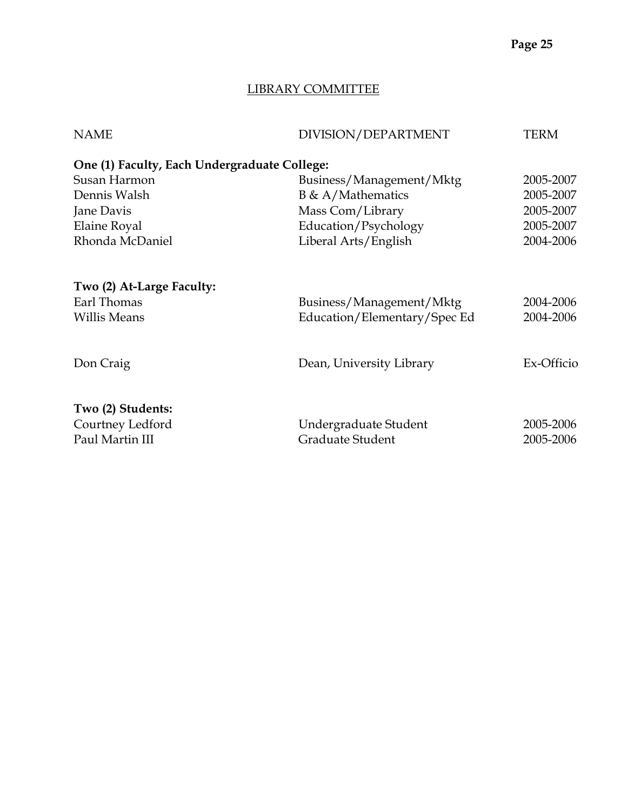# LIBRARY COMMITTEE

| <b>NAME</b>                                              | DIVISION/DEPARTMENT                       | <b>TERM</b>            |
|----------------------------------------------------------|-------------------------------------------|------------------------|
| One (1) Faculty, Each Undergraduate College:             |                                           |                        |
| Susan Harmon                                             | Business/Management/Mktg                  | 2005-2007              |
| Dennis Walsh                                             | $B \& A/Mathematics$                      | 2005-2007              |
| Jane Davis                                               | Mass Com/Library                          | 2005-2007              |
| Elaine Royal                                             | Education/Psychology                      | 2005-2007              |
| Rhonda McDaniel                                          | Liberal Arts/English                      | 2004-2006              |
| Two (2) At-Large Faculty:<br>Earl Thomas                 | Business/Management/Mktg                  | 2004-2006              |
| <b>Willis Means</b>                                      | Education/Elementary/Spec Ed              | 2004-2006              |
| Don Craig                                                | Dean, University Library                  | Ex-Officio             |
| Two (2) Students:<br>Courtney Ledford<br>Paul Martin III | Undergraduate Student<br>Graduate Student | 2005-2006<br>2005-2006 |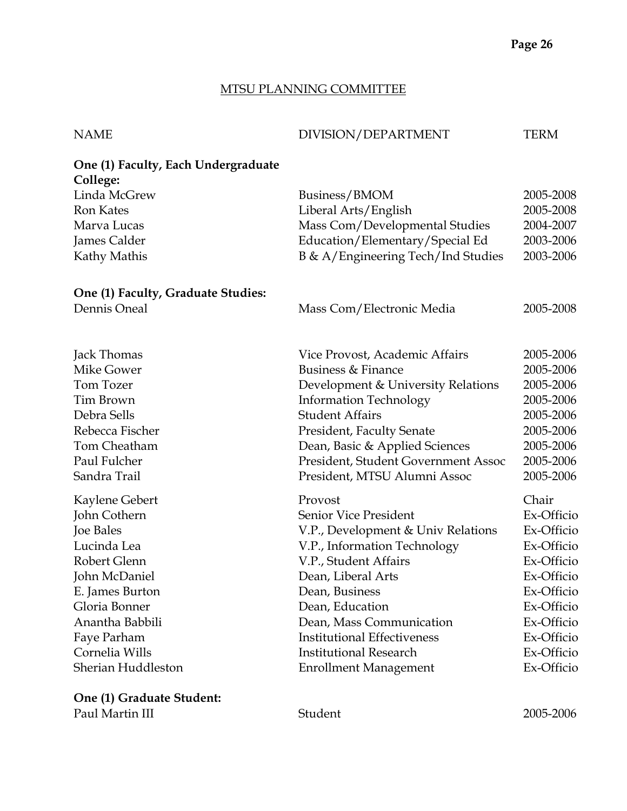# MTSU PLANNING COMMITTEE

| <b>NAME</b>                                     | DIVISION/DEPARTMENT                 | TERM       |
|-------------------------------------------------|-------------------------------------|------------|
| One (1) Faculty, Each Undergraduate<br>College: |                                     |            |
| Linda McGrew                                    | Business/BMOM                       | 2005-2008  |
| <b>Ron Kates</b>                                | Liberal Arts/English                | 2005-2008  |
| Marva Lucas                                     | Mass Com/Developmental Studies      | 2004-2007  |
| James Calder                                    | Education/Elementary/Special Ed     | 2003-2006  |
| Kathy Mathis                                    | B & A/Engineering Tech/Ind Studies  | 2003-2006  |
| One (1) Faculty, Graduate Studies:              |                                     |            |
| Dennis Oneal                                    | Mass Com/Electronic Media           | 2005-2008  |
| Jack Thomas                                     | Vice Provost, Academic Affairs      | 2005-2006  |
| Mike Gower                                      | Business & Finance                  | 2005-2006  |
| Tom Tozer                                       | Development & University Relations  | 2005-2006  |
| Tim Brown                                       | <b>Information Technology</b>       | 2005-2006  |
| Debra Sells                                     | <b>Student Affairs</b>              | 2005-2006  |
| Rebecca Fischer                                 | President, Faculty Senate           | 2005-2006  |
| Tom Cheatham                                    | Dean, Basic & Applied Sciences      | 2005-2006  |
| Paul Fulcher                                    | President, Student Government Assoc | 2005-2006  |
| Sandra Trail                                    | President, MTSU Alumni Assoc        | 2005-2006  |
| Kaylene Gebert                                  | Provost                             | Chair      |
| John Cothern                                    | Senior Vice President               | Ex-Officio |
| <b>Joe Bales</b>                                | V.P., Development & Univ Relations  | Ex-Officio |
| Lucinda Lea                                     | V.P., Information Technology        | Ex-Officio |
| Robert Glenn                                    | V.P., Student Affairs               | Ex-Officio |
| John McDaniel                                   | Dean, Liberal Arts                  | Ex-Officio |
| E. James Burton                                 | Dean, Business                      | Ex-Officio |
| Gloria Bonner                                   | Dean, Education                     | Ex-Officio |
| Anantha Babbili                                 | Dean, Mass Communication            | Ex-Officio |
| Faye Parham                                     | <b>Institutional Effectiveness</b>  | Ex-Officio |
| Cornelia Wills                                  | <b>Institutional Research</b>       | Ex-Officio |
| Sherian Huddleston                              | <b>Enrollment Management</b>        | Ex-Officio |
| One (1) Graduate Student:                       |                                     |            |
| Paul Martin III                                 | Student                             | 2005-2006  |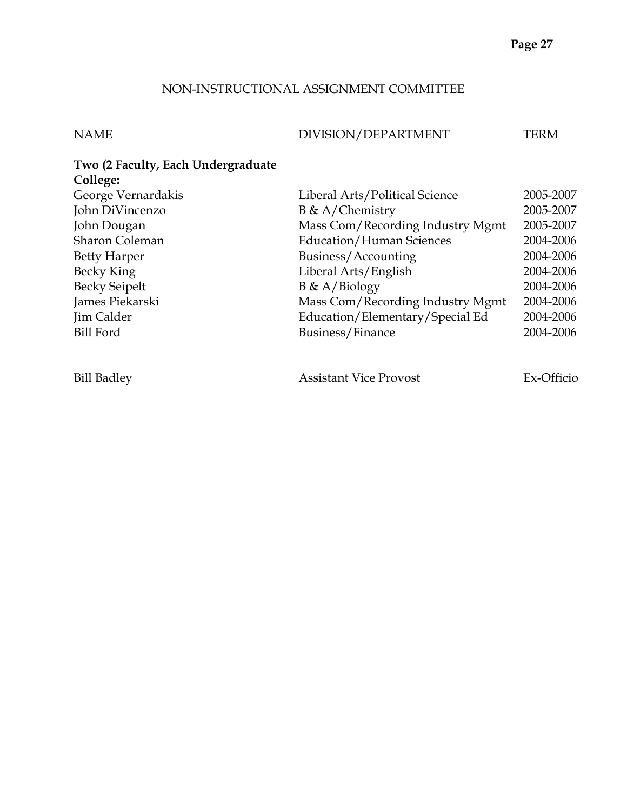# NON-INSTRUCTIONAL ASSIGNMENT COMMITTEE

| NAME | DIVISION/DEPARTMENT | TERM |
|------|---------------------|------|
|      |                     |      |

| Two (2 Faculty, Each Undergraduate |                                  |           |
|------------------------------------|----------------------------------|-----------|
| College:                           |                                  |           |
| George Vernardakis                 | Liberal Arts/Political Science   | 2005-2007 |
| John DiVincenzo                    | $B \& A/Chemistry$               | 2005-2007 |
| John Dougan                        | Mass Com/Recording Industry Mgmt | 2005-2007 |
| <b>Sharon Coleman</b>              | <b>Education/Human Sciences</b>  | 2004-2006 |
| <b>Betty Harper</b>                | Business/Accounting              | 2004-2006 |
| Becky King                         | Liberal Arts/English             | 2004-2006 |
| <b>Becky Seipelt</b>               | $B \& A/Biology$                 | 2004-2006 |
| James Piekarski                    | Mass Com/Recording Industry Mgmt | 2004-2006 |
| Jim Calder                         | Education/Elementary/Special Ed  | 2004-2006 |
| <b>Bill Ford</b>                   | Business/Finance                 | 2004-2006 |
|                                    |                                  |           |

Bill Badley Assistant Vice Provost Ex-Officio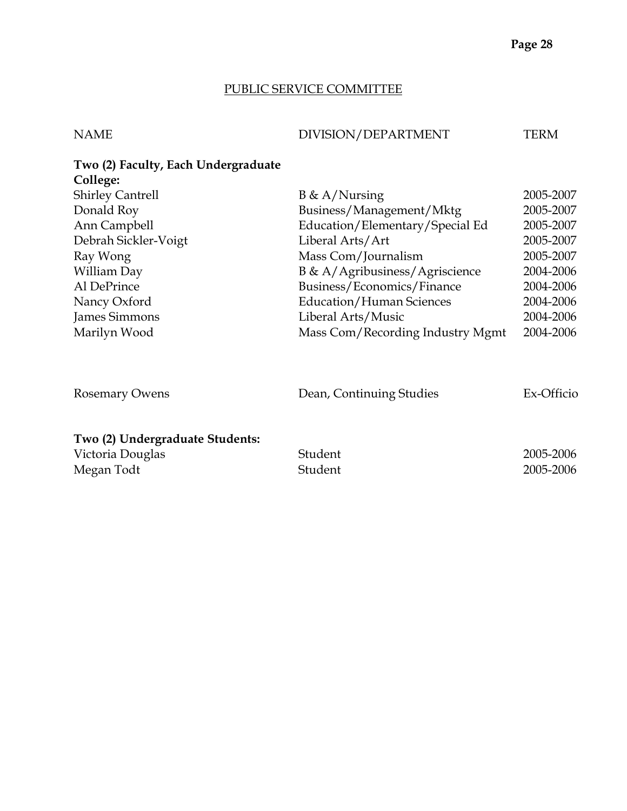# PUBLIC SERVICE COMMITTEE

| DIVISION/DEPARTMENT<br><b>NAME</b> | TERM |
|------------------------------------|------|

| Two (2) Faculty, Each Undergraduate                               |                                  |                        |
|-------------------------------------------------------------------|----------------------------------|------------------------|
| College:                                                          |                                  |                        |
| <b>Shirley Cantrell</b>                                           | $B \& A/Nursing$                 | 2005-2007              |
| Donald Roy                                                        | Business/Management/Mktg         | 2005-2007              |
| Ann Campbell                                                      | Education/Elementary/Special Ed  | 2005-2007              |
| Debrah Sickler-Voigt                                              | Liberal Arts/Art                 | 2005-2007              |
| Ray Wong                                                          | Mass Com/Journalism              | 2005-2007              |
| William Day                                                       | B & A/Agribusiness/Agriscience   | 2004-2006              |
| Al DePrince                                                       | Business/Economics/Finance       | 2004-2006              |
| Nancy Oxford                                                      | <b>Education/Human Sciences</b>  | 2004-2006              |
| James Simmons                                                     | Liberal Arts/Music               | 2004-2006              |
| Marilyn Wood                                                      | Mass Com/Recording Industry Mgmt | 2004-2006              |
| <b>Rosemary Owens</b>                                             | Dean, Continuing Studies         | Ex-Officio             |
| Two (2) Undergraduate Students:<br>Victoria Douglas<br>Megan Todt | Student<br>Student               | 2005-2006<br>2005-2006 |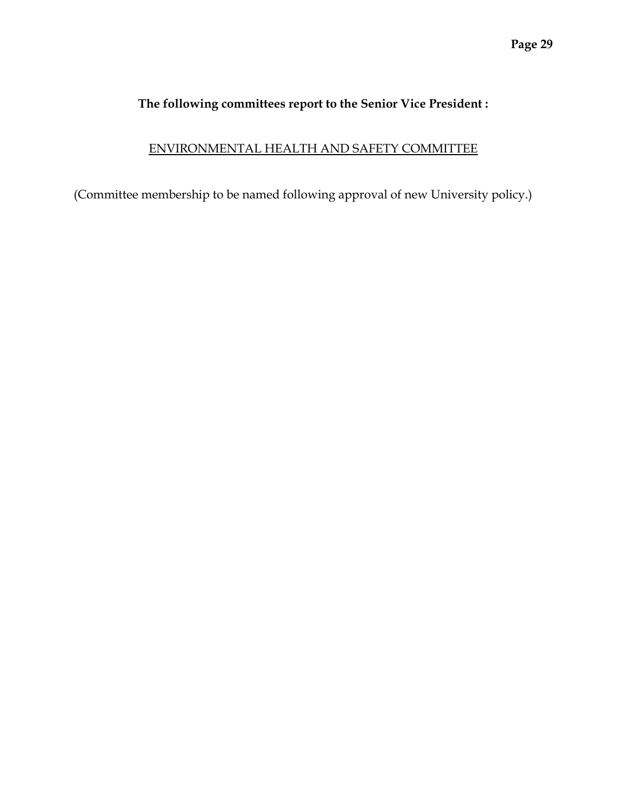# **The following committees report to the Senior Vice President :**

# ENVIRONMENTAL HEALTH AND SAFETY COMMITTEE

(Committee membership to be named following approval of new University policy.)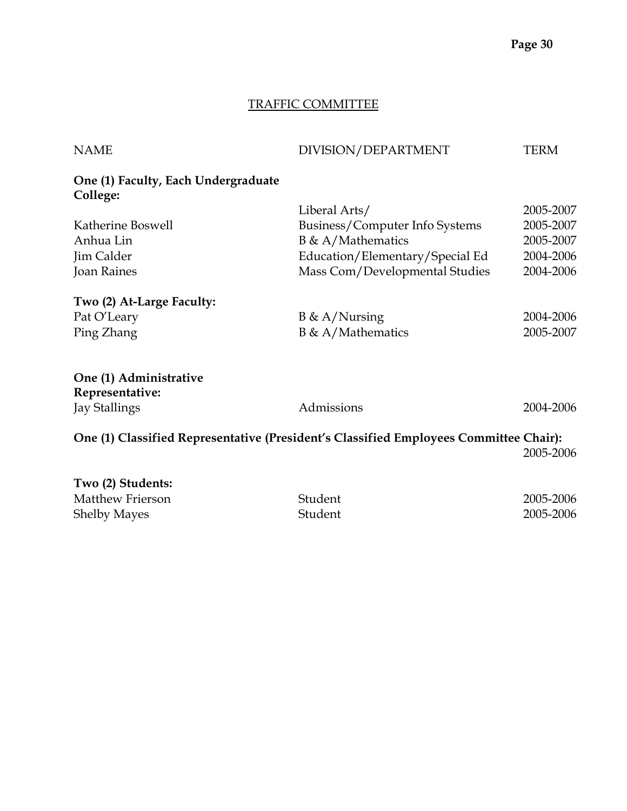# TRAFFIC COMMITTEE

| <b>NAME</b>                                     | DIVISION/DEPARTMENT                                                                   | <b>TERM</b> |
|-------------------------------------------------|---------------------------------------------------------------------------------------|-------------|
| One (1) Faculty, Each Undergraduate<br>College: |                                                                                       |             |
|                                                 | Liberal Arts/                                                                         | 2005-2007   |
| Katherine Boswell                               | Business/Computer Info Systems                                                        | 2005-2007   |
| Anhua Lin                                       | $B \& A/Mathematics$                                                                  | 2005-2007   |
| Jim Calder                                      | Education/Elementary/Special Ed                                                       | 2004-2006   |
| <b>Joan Raines</b>                              | Mass Com/Developmental Studies                                                        | 2004-2006   |
| Two (2) At-Large Faculty:                       |                                                                                       |             |
| Pat O'Leary                                     | $B \& A/Nursing$                                                                      | 2004-2006   |
| Ping Zhang                                      | $B \& A/Mathematics$                                                                  | 2005-2007   |
| One (1) Administrative<br>Representative:       |                                                                                       |             |
| <b>Jay Stallings</b>                            | Admissions                                                                            | 2004-2006   |
|                                                 | One (1) Classified Representative (President's Classified Employees Committee Chair): | 2005-2006   |
| Two (2) Students:                               |                                                                                       |             |
| Matthew Frierson                                | Student                                                                               | 2005-2006   |
| <b>Shelby Mayes</b>                             | Student                                                                               | 2005-2006   |

Shelby Mayes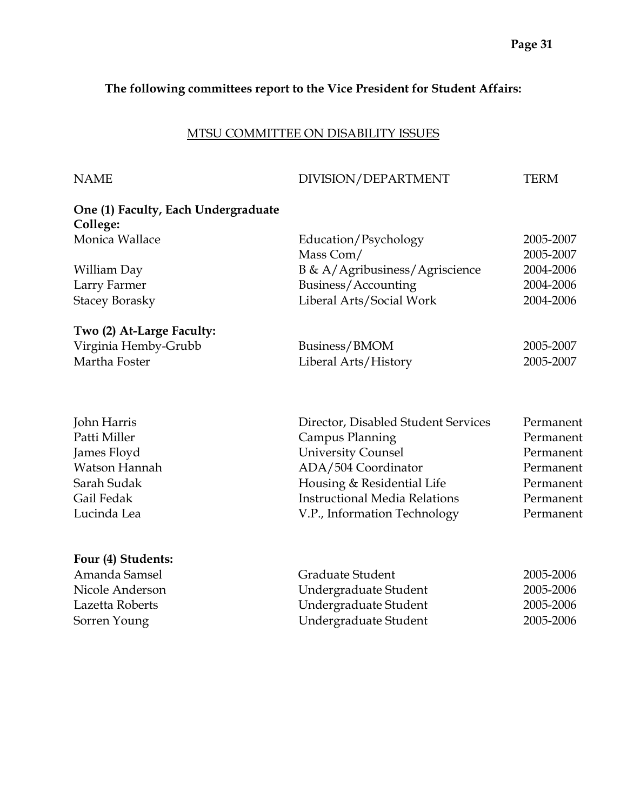## **The following committees report to the Vice President for Student Affairs:**

# MTSU COMMITTEE ON DISABILITY ISSUES

| <b>NAME</b>                         | DIVISION/DEPARTMENT                  | TERM      |
|-------------------------------------|--------------------------------------|-----------|
| One (1) Faculty, Each Undergraduate |                                      |           |
| College:                            |                                      |           |
| Monica Wallace                      | Education/Psychology                 | 2005-2007 |
|                                     | Mass Com/                            | 2005-2007 |
| William Day                         | B & A/Agribusiness/Agriscience       | 2004-2006 |
| Larry Farmer                        | Business/Accounting                  | 2004-2006 |
| <b>Stacey Borasky</b>               | Liberal Arts/Social Work             | 2004-2006 |
| Two (2) At-Large Faculty:           |                                      |           |
| Virginia Hemby-Grubb                | Business/BMOM                        | 2005-2007 |
| Martha Foster                       | Liberal Arts/History                 | 2005-2007 |
| John Harris                         | Director, Disabled Student Services  | Permanent |
| Patti Miller                        | Campus Planning                      | Permanent |
| James Floyd                         | <b>University Counsel</b>            | Permanent |
| Watson Hannah                       | ADA/504 Coordinator                  | Permanent |
| Sarah Sudak                         | Housing & Residential Life           | Permanent |
| Gail Fedak                          | <b>Instructional Media Relations</b> | Permanent |
|                                     |                                      |           |
| Lucinda Lea                         | V.P., Information Technology         | Permanent |
|                                     |                                      |           |

| Four (4) Students: |                       |           |
|--------------------|-----------------------|-----------|
| Amanda Samsel      | Graduate Student      | 2005-2006 |
| Nicole Anderson    | Undergraduate Student | 2005-2006 |
| Lazetta Roberts    | Undergraduate Student | 2005-2006 |
| Sorren Young       | Undergraduate Student | 2005-2006 |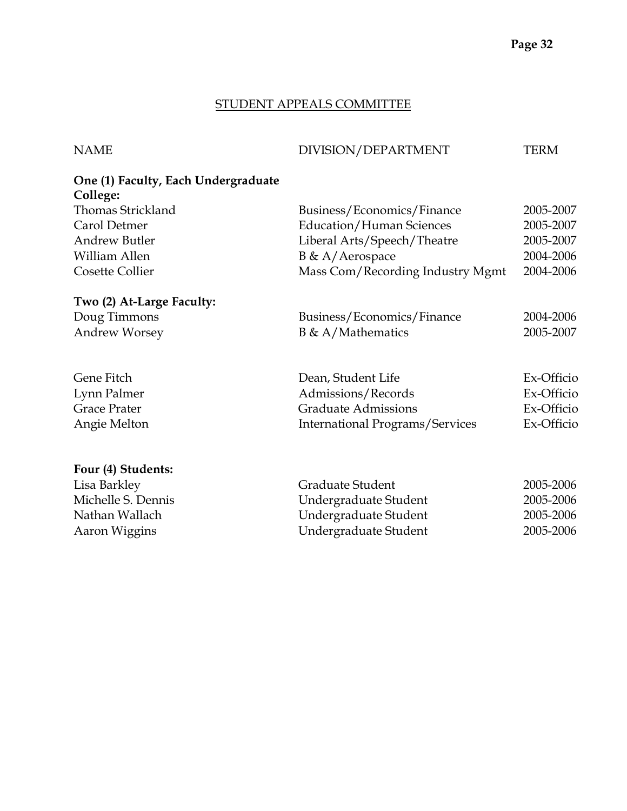## STUDENT APPEALS COMMITTEE

# NAME DIVISION/DEPARTMENT TERM

# **One (1) Faculty, Each Undergraduate College:**

| Thomas Strickland         | Business/Economics/Finance             | 2005-2007                          |
|---------------------------|----------------------------------------|------------------------------------|
| Carol Detmer              | <b>Education/Human Sciences</b>        | 2005-2007                          |
| <b>Andrew Butler</b>      | Liberal Arts/Speech/Theatre            | 2005-2007                          |
| William Allen             | B & A/Aerospace                        | 2004-2006                          |
| Cosette Collier           | Mass Com/Recording Industry Mgmt       | 2004-2006                          |
| Two (2) At-Large Faculty: |                                        |                                    |
| Doug Timmons              | Business/Economics/Finance             | 2004-2006                          |
| <b>Andrew Worsey</b>      | $B \& A/Mathematics$                   | 2005-2007                          |
| Gene Fitch                | Dean, Student Life                     | Ex-Officio                         |
| Lynn Palmer               | Admissions/Records                     | Ex-Officio                         |
| <b>Grace Prater</b>       | <b>Graduate Admissions</b>             | Ex-Officio                         |
| Angie Melton              | <b>International Programs/Services</b> | Ex-Officio                         |
| Four (4) Students:        |                                        |                                    |
|                           | $\sim$ 1. $\sim$ 1.                    | $\sim$ $\sim$ $\sim$ $\sim$ $\sim$ |

| Lisa Barkley       | Graduate Student      | 2005-2006 |
|--------------------|-----------------------|-----------|
| Michelle S. Dennis | Undergraduate Student | 2005-2006 |
| Nathan Wallach     | Undergraduate Student | 2005-2006 |
| Aaron Wiggins      | Undergraduate Student | 2005-2006 |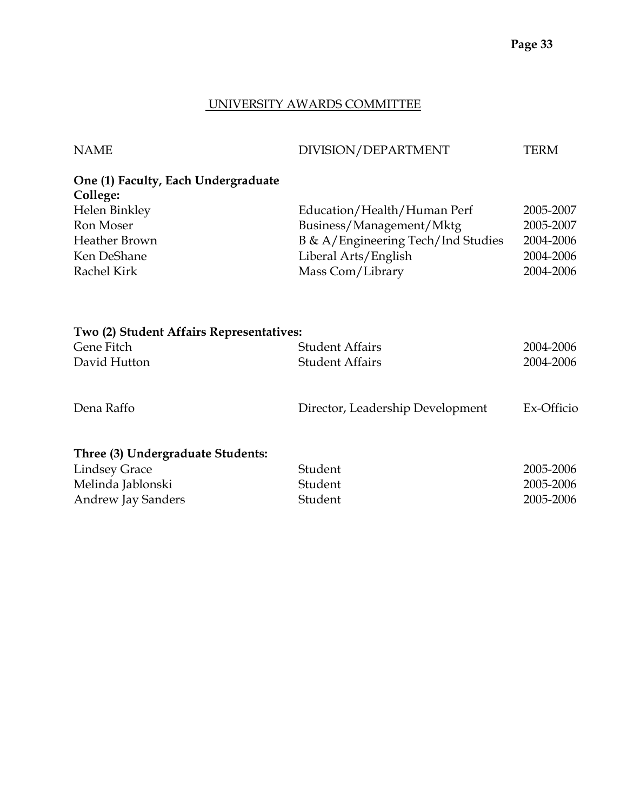# UNIVERSITY AWARDS COMMITTEE

| <b>NAME</b>                                                                                                                         | DIVISION/DEPARTMENT                                                                                                                       | <b>TERM</b>                                                   |
|-------------------------------------------------------------------------------------------------------------------------------------|-------------------------------------------------------------------------------------------------------------------------------------------|---------------------------------------------------------------|
| One (1) Faculty, Each Undergraduate<br>College:<br>Helen Binkley<br>Ron Moser<br><b>Heather Brown</b><br>Ken DeShane<br>Rachel Kirk | Education/Health/Human Perf<br>Business/Management/Mktg<br>B & A/Engineering Tech/Ind Studies<br>Liberal Arts/English<br>Mass Com/Library | 2005-2007<br>2005-2007<br>2004-2006<br>2004-2006<br>2004-2006 |
| Two (2) Student Affairs Representatives:<br>Gene Fitch<br>David Hutton                                                              | <b>Student Affairs</b><br><b>Student Affairs</b>                                                                                          | 2004-2006<br>2004-2006                                        |
| Dena Raffo                                                                                                                          | Director, Leadership Development                                                                                                          | Ex-Officio                                                    |
| Three (3) Undergraduate Students:<br><b>Lindsey Grace</b><br>Melinda Jablonski<br>Andrew Jay Sanders                                | Student<br>Student<br>Student                                                                                                             | 2005-2006<br>2005-2006<br>2005-2006                           |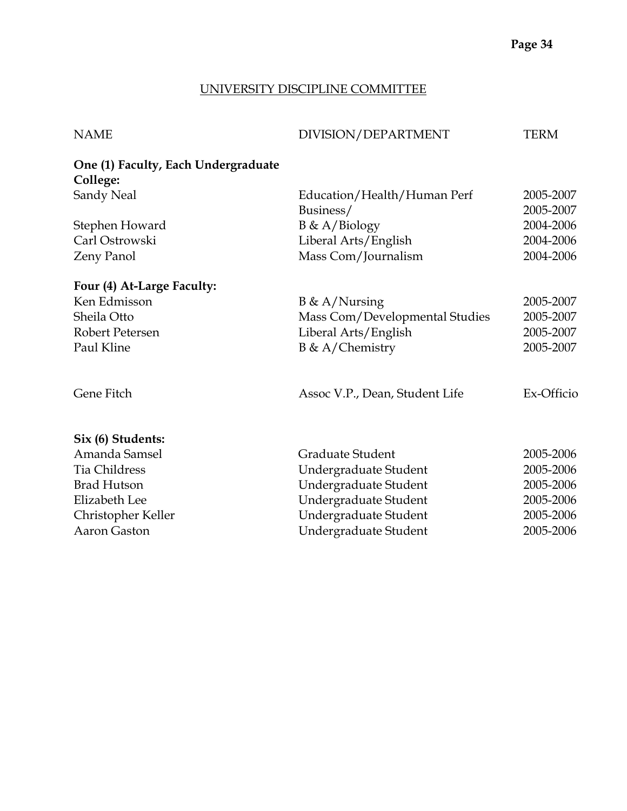## UNIVERSITY DISCIPLINE COMMITTEE

| <b>NAME</b>                                     | DIVISION/DEPARTMENT            | <b>TERM</b> |
|-------------------------------------------------|--------------------------------|-------------|
| One (1) Faculty, Each Undergraduate<br>College: |                                |             |
| Sandy Neal                                      | Education/Health/Human Perf    | 2005-2007   |
|                                                 | Business/                      | 2005-2007   |
| Stephen Howard                                  | $B \& A/Biology$               | 2004-2006   |
| Carl Ostrowski                                  | Liberal Arts/English           | 2004-2006   |
| Zeny Panol                                      | Mass Com/Journalism            | 2004-2006   |
| Four (4) At-Large Faculty:                      |                                |             |
| Ken Edmisson                                    | $B \& A/Nursing$               | 2005-2007   |
| Sheila Otto                                     | Mass Com/Developmental Studies | 2005-2007   |
| Robert Petersen                                 | Liberal Arts/English           | 2005-2007   |
| Paul Kline                                      | $B \& A/Chemistry$             | 2005-2007   |
| Gene Fitch                                      | Assoc V.P., Dean, Student Life | Ex-Officio  |
| Six (6) Students:                               |                                |             |
| Amanda Samsel                                   | Graduate Student               | 2005-2006   |
| <b>Tia Childress</b>                            | Undergraduate Student          | 2005-2006   |
| <b>Brad Hutson</b>                              | Undergraduate Student          | 2005-2006   |
| <b>Elizabeth Lee</b>                            | Undergraduate Student          | 2005-2006   |
| Christopher Keller                              | Undergraduate Student          | 2005-2006   |
| Aaron Gaston                                    | Undergraduate Student          | 2005-2006   |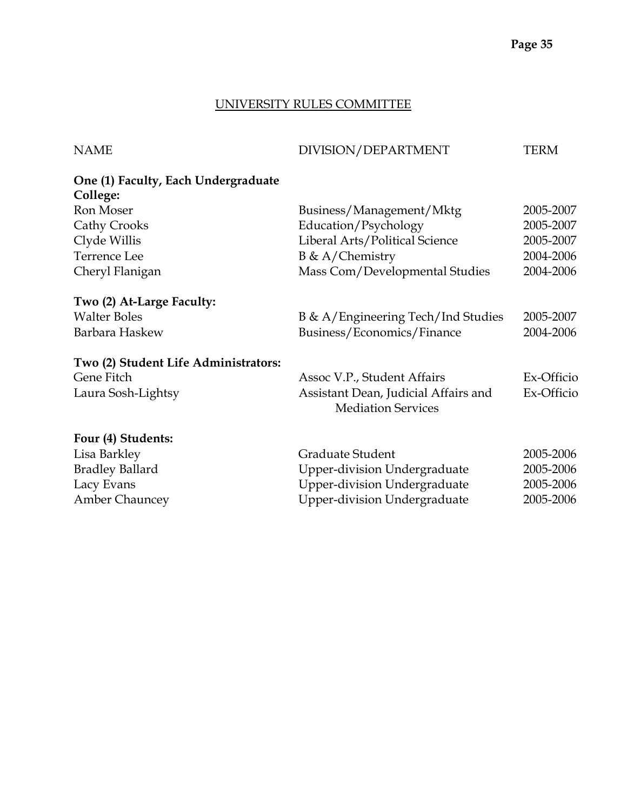## UNIVERSITY RULES COMMITTEE

| <b>NAME</b>                                     | DIVISION/DEPARTMENT                                               | <b>TERM</b> |
|-------------------------------------------------|-------------------------------------------------------------------|-------------|
| One (1) Faculty, Each Undergraduate<br>College: |                                                                   |             |
| Ron Moser                                       | Business/Management/Mktg                                          | 2005-2007   |
| <b>Cathy Crooks</b>                             | Education/Psychology                                              | 2005-2007   |
| Clyde Willis                                    | Liberal Arts/Political Science                                    | 2005-2007   |
| Terrence Lee                                    | $B \& A/Chemistry$                                                | 2004-2006   |
| Cheryl Flanigan                                 | Mass Com/Developmental Studies                                    | 2004-2006   |
| Two (2) At-Large Faculty:                       |                                                                   |             |
| <b>Walter Boles</b>                             | B & A/Engineering Tech/Ind Studies                                | 2005-2007   |
| Barbara Haskew                                  | Business/Economics/Finance                                        | 2004-2006   |
| Two (2) Student Life Administrators:            |                                                                   |             |
| Gene Fitch                                      | Assoc V.P., Student Affairs                                       | Ex-Officio  |
| Laura Sosh-Lightsy                              | Assistant Dean, Judicial Affairs and<br><b>Mediation Services</b> | Ex-Officio  |
| Four (4) Students:                              |                                                                   |             |
| Lisa Barkley                                    | Graduate Student                                                  | 2005-2006   |
| <b>Bradley Ballard</b>                          | <b>Upper-division Undergraduate</b>                               | 2005-2006   |
| Lacy Evans                                      | Upper-division Undergraduate                                      | 2005-2006   |

Amber Chauncey **1988** Upper-division Undergraduate 2005-2006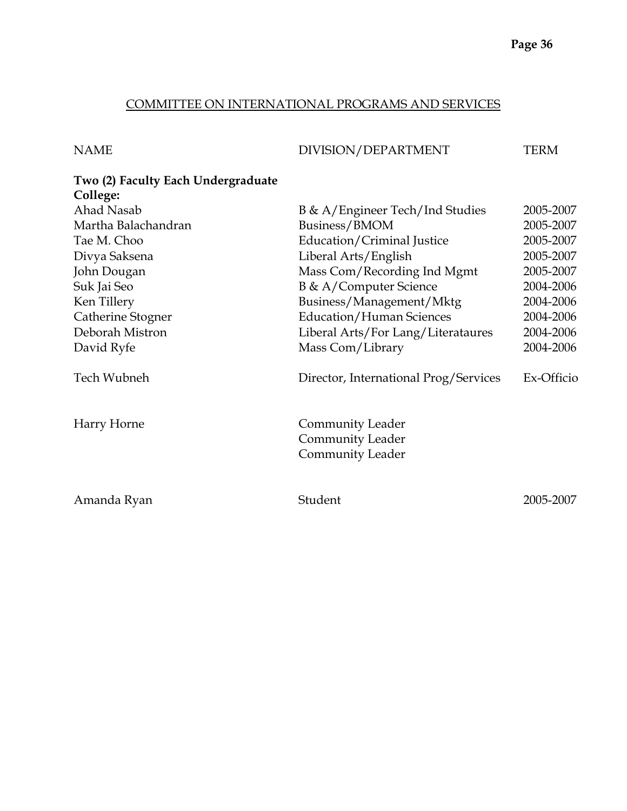# COMMITTEE ON INTERNATIONAL PROGRAMS AND SERVICES

| NAME | DIVISION/DEPARTMENT | TERM |
|------|---------------------|------|
|      |                     |      |

# **Two (2) Faculty Each Undergraduate College:**

| Ahad Nasab          | B & A/Engineer Tech/Ind Studies                                        | 2005-2007  |
|---------------------|------------------------------------------------------------------------|------------|
| Martha Balachandran | Business/BMOM                                                          | 2005-2007  |
| Tae M. Choo         | Education/Criminal Justice                                             | 2005-2007  |
| Divya Saksena       | Liberal Arts/English                                                   | 2005-2007  |
| John Dougan         | Mass Com/Recording Ind Mgmt                                            | 2005-2007  |
| Suk Jai Seo         | B & A/Computer Science                                                 | 2004-2006  |
| Ken Tillery         | Business/Management/Mktg                                               | 2004-2006  |
| Catherine Stogner   | Education/Human Sciences                                               | 2004-2006  |
| Deborah Mistron     | Liberal Arts/For Lang/Literataures                                     | 2004-2006  |
| David Ryfe          | Mass Com/Library                                                       | 2004-2006  |
| Tech Wubneh         | Director, International Prog/Services                                  | Ex-Officio |
| Harry Horne         | Community Leader<br><b>Community Leader</b><br><b>Community Leader</b> |            |
| Amanda Ryan         | Student                                                                | 2005-2007  |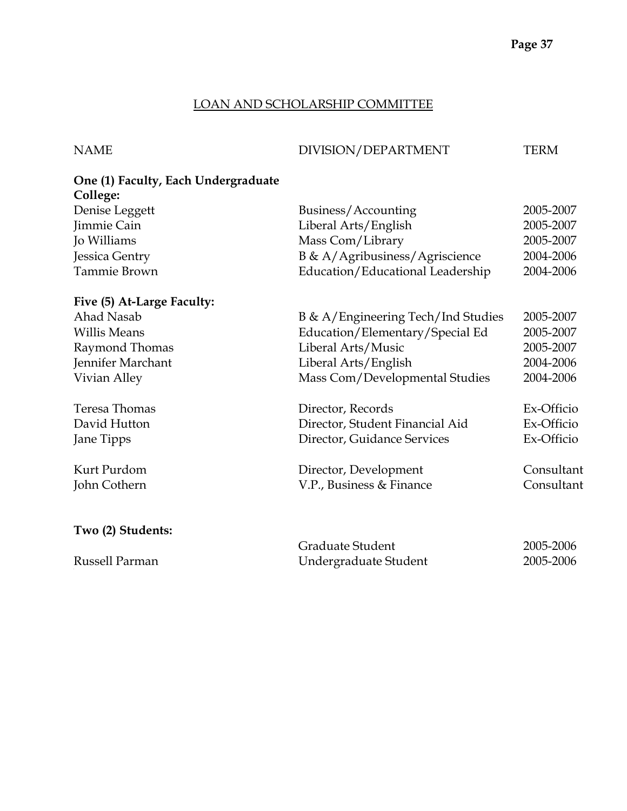### LOAN AND SCHOLARSHIP COMMITTEE

#### NAME DIVISION/DEPARTMENT TERM

# **One (1) Faculty, Each Undergraduate College:**  Denise Leggett Business/Accounting 2005-2007 Jimmie Cain Liberal Arts/English 2005-2007 Jo Williams Mass Com/Library 2005-2007 Jessica Gentry B & A/Agribusiness/Agriscience 2004-2006 Tammie Brown **Education**/Educational Leadership 2004-2006 **Five (5) At-Large Faculty:**  Ahad Nasab B & A/Engineering Tech/Ind Studies 2005-2007 Willis Means **Education/Elementary/Special Ed** 2005-2007 Raymond Thomas **Liberal Arts/Music** 2005-2007 Jennifer Marchant Liberal Arts/English 2004-2006 Vivian Alley Mass Com/Developmental Studies 2004-2006

Teresa Thomas Director, Records Ex-Officio David Hutton Director, Student Financial Aid Ex-Officio Jane Tipps Director, Guidance Services Ex-Officio Kurt Purdom Director, Development Consultant John Cothern V.P., Business & Finance Consultant **Two (2) Students:** 

|                | Graduate Student      | 2005-2006 |
|----------------|-----------------------|-----------|
| Russell Parman | Undergraduate Student | 2005-2006 |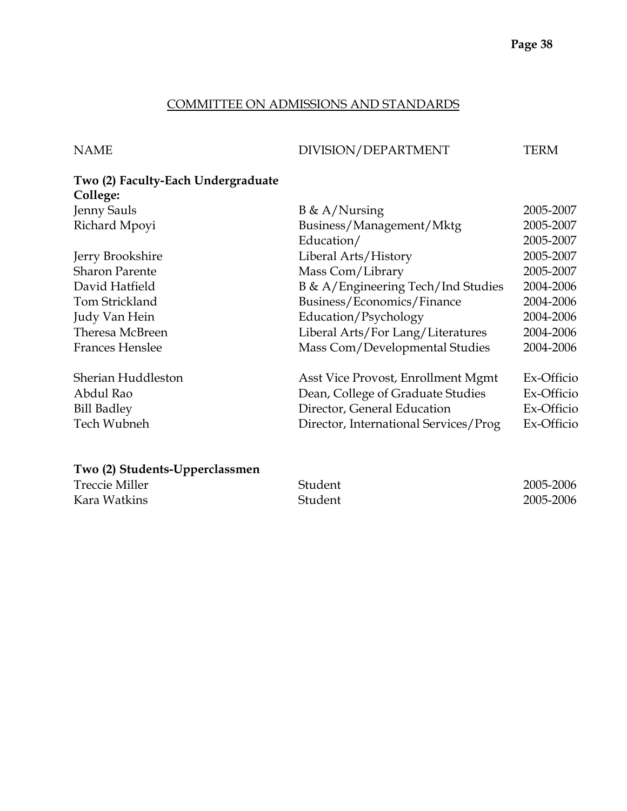### COMMITTEE ON ADMISSIONS AND STANDARDS

# NAME DIVISION/DEPARTMENT TERM

# **Two (2) Faculty-Each Undergraduate**  College:<br>Ionny Sau

| <b>Jenny Sauls</b>     | $B \& A/Nursing$                      | 2005-2007  |
|------------------------|---------------------------------------|------------|
| Richard Mpoyi          | Business/Management/Mktg              | 2005-2007  |
|                        | Education/                            | 2005-2007  |
| Jerry Brookshire       | Liberal Arts/History                  | 2005-2007  |
| <b>Sharon Parente</b>  | Mass Com/Library                      | 2005-2007  |
| David Hatfield         | B & A/Engineering Tech/Ind Studies    | 2004-2006  |
| Tom Strickland         | Business/Economics/Finance            | 2004-2006  |
| Judy Van Hein          | Education/Psychology                  | 2004-2006  |
| Theresa McBreen        | Liberal Arts/For Lang/Literatures     | 2004-2006  |
| <b>Frances Henslee</b> | Mass Com/Developmental Studies        | 2004-2006  |
| Sherian Huddleston     | Asst Vice Provost, Enrollment Mgmt    | Ex-Officio |
| Abdul Rao              | Dean, College of Graduate Studies     | Ex-Officio |
| <b>Bill Badley</b>     | Director, General Education           | Ex-Officio |
| Tech Wubneh            | Director, International Services/Prog | Ex-Officio |

# **Two (2) Students-Upperclassmen**

| <b>Treccie Miller</b> | Student | 2005-2006 |
|-----------------------|---------|-----------|
| Kara Watkins          | Student | 2005-2006 |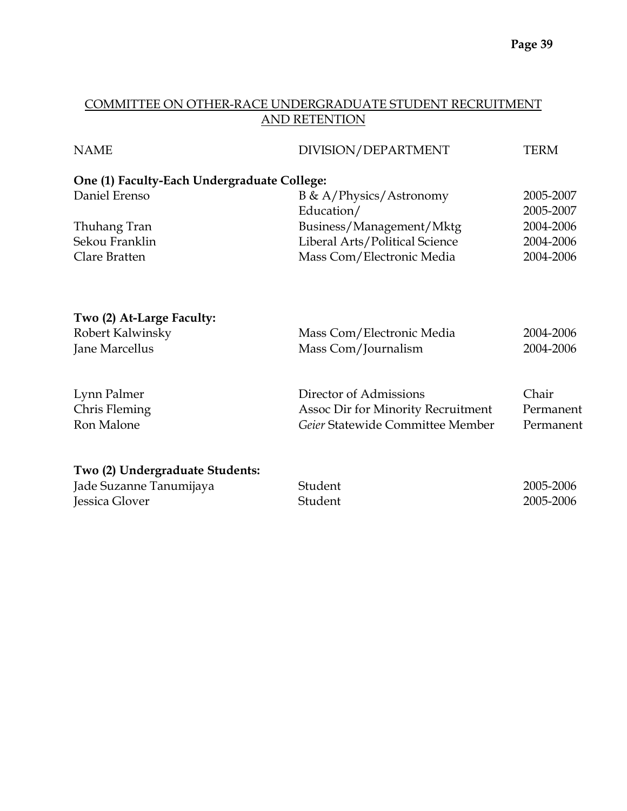# COMMITTEE ON OTHER-RACE UNDERGRADUATE STUDENT RECRUITMENT AND RETENTION

| <b>NAME</b>                                 | DIVISION/DEPARTMENT                | <b>TERM</b> |
|---------------------------------------------|------------------------------------|-------------|
| One (1) Faculty-Each Undergraduate College: |                                    |             |
| Daniel Erenso                               | $B \& A/P$ hysics/Astronomy        | 2005-2007   |
|                                             | Education/                         | 2005-2007   |
| Thuhang Tran                                | Business/Management/Mktg           | 2004-2006   |
| Sekou Franklin                              | Liberal Arts/Political Science     | 2004-2006   |
| Clare Bratten                               | Mass Com/Electronic Media          | 2004-2006   |
| Two (2) At-Large Faculty:                   |                                    |             |
| Robert Kalwinsky                            | Mass Com/Electronic Media          | 2004-2006   |
| Jane Marcellus                              | Mass Com/Journalism                | 2004-2006   |
| Lynn Palmer                                 | Director of Admissions             | Chair       |
| Chris Fleming                               | Assoc Dir for Minority Recruitment | Permanent   |
| Ron Malone                                  | Geier Statewide Committee Member   | Permanent   |
| Two (2) Undergraduate Students:             |                                    |             |
| Jade Suzanne Tanumijaya                     | Student                            | 2005-2006   |
| Jessica Glover                              | Student                            | 2005-2006   |
|                                             |                                    |             |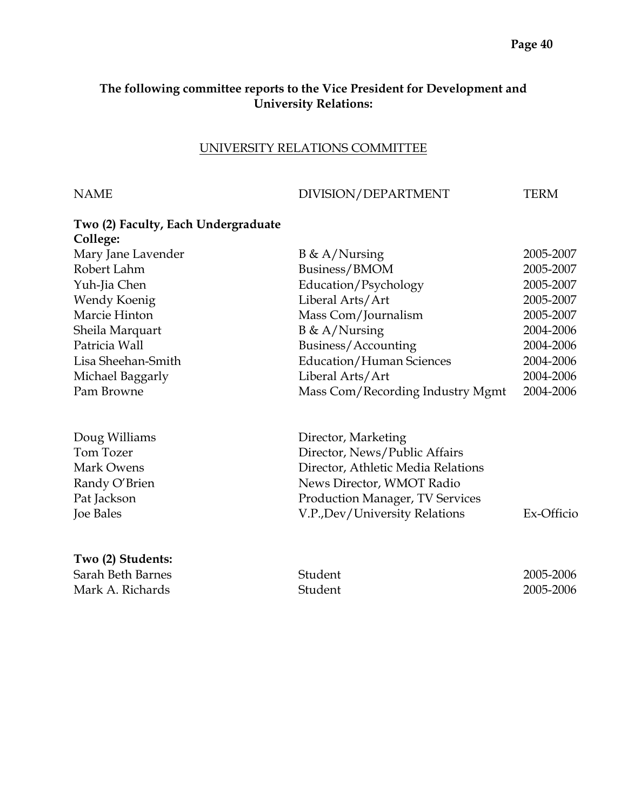# **The following committee reports to the Vice President for Development and University Relations:**

### UNIVERSITY RELATIONS COMMITTEE

NAME DIVISION/DEPARTMENT TERM

| Two (2) Faculty, Each Undergraduate<br>College: |                                  |           |
|-------------------------------------------------|----------------------------------|-----------|
| Mary Jane Lavender                              | $B \& A/Nursing$                 | 2005-2007 |
| Robert Lahm                                     | Business/BMOM                    | 2005-2007 |
| Yuh-Jia Chen                                    | Education/Psychology             | 2005-2007 |
| Wendy Koenig                                    | Liberal Arts/Art                 | 2005-2007 |
| Marcie Hinton                                   | Mass Com/Journalism              | 2005-2007 |
| Sheila Marquart                                 | $B \& A/Nursing$                 | 2004-2006 |
| Patricia Wall                                   | Business/Accounting              | 2004-2006 |
| Lisa Sheehan-Smith                              | <b>Education/Human Sciences</b>  | 2004-2006 |
| Michael Baggarly                                | Liberal Arts/Art                 | 2004-2006 |
| Pam Browne                                      | Mass Com/Recording Industry Mgmt | 2004-2006 |

| Doug Williams    | Director, Marketing                    |            |
|------------------|----------------------------------------|------------|
| Tom Tozer        | Director, News/Public Affairs          |            |
| Mark Owens       | Director, Athletic Media Relations     |            |
| Randy O'Brien    | News Director, WMOT Radio              |            |
| Pat Jackson      | <b>Production Manager, TV Services</b> |            |
| <b>Joe Bales</b> | V.P., Dev/University Relations         | Ex-Officio |
|                  |                                        |            |

# **Two (2) Students:**

Sarah Beth Barnes Student 2005-2006 Mark A. Richards **2005-2006**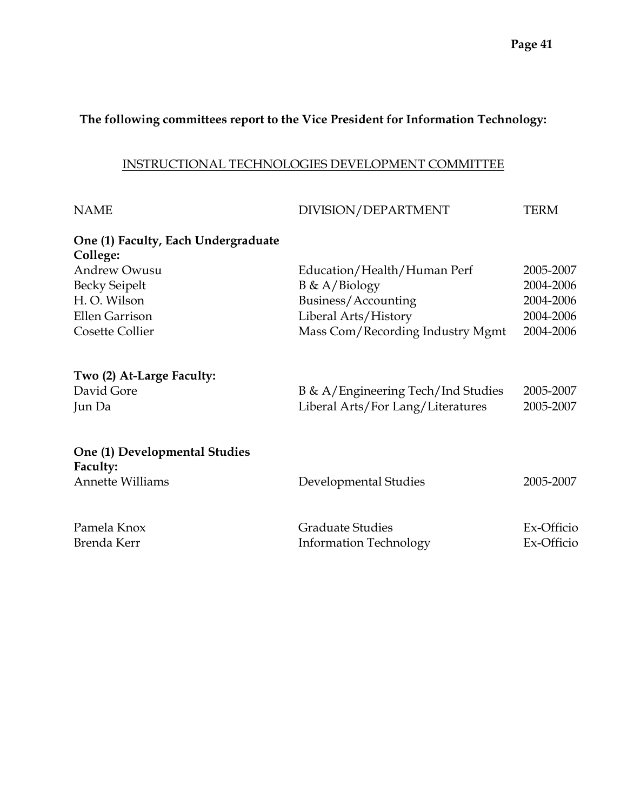# **The following committees report to the Vice President for Information Technology:**

# INSTRUCTIONAL TECHNOLOGIES DEVELOPMENT COMMITTEE

| <b>NAME</b>                                                          | DIVISION/DEPARTMENT                                                     | <b>TERM</b>              |
|----------------------------------------------------------------------|-------------------------------------------------------------------------|--------------------------|
| One (1) Faculty, Each Undergraduate<br>College:                      |                                                                         |                          |
| <b>Andrew Owusu</b>                                                  | Education/Health/Human Perf                                             | 2005-2007                |
| <b>Becky Seipelt</b>                                                 | $B \& A/Biology$                                                        | 2004-2006                |
| H.O. Wilson                                                          | Business/Accounting                                                     | 2004-2006                |
| <b>Ellen Garrison</b>                                                | Liberal Arts/History                                                    | 2004-2006                |
| <b>Cosette Collier</b>                                               | Mass Com/Recording Industry Mgmt                                        | 2004-2006                |
| Two (2) At-Large Faculty:<br>David Gore<br>Jun Da                    | B & A/Engineering Tech/Ind Studies<br>Liberal Arts/For Lang/Literatures | 2005-2007<br>2005-2007   |
| One (1) Developmental Studies<br>Faculty:<br><b>Annette Williams</b> | Developmental Studies                                                   | 2005-2007                |
| Pamela Knox<br>Brenda Kerr                                           | <b>Graduate Studies</b><br><b>Information Technology</b>                | Ex-Officio<br>Ex-Officio |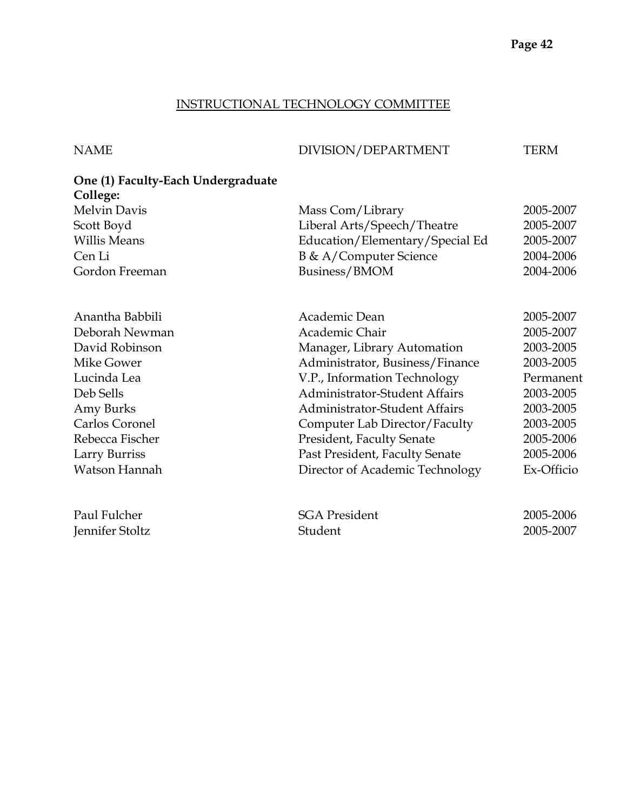#### INSTRUCTIONAL TECHNOLOGY COMMITTEE

NAME DIVISION/DEPARTMENT TERM

# **One (1) Faculty-Each Undergraduate College:**  Melvin Davis Mass Com/Library 2005-2007 Scott Boyd Liberal Arts/Speech/Theatre 2005-2007 Willis Means **Education/Elementary/Special Ed** 2005-2007 Cen Li B & A/Computer Science 2004-2006 Gordon Freeman Business/BMOM 2004-2006 Anantha Babbili **Academic Dean** 2005-2007 Deborah Newman Academic Chair 2005-2007 David Robinson Manager, Library Automation 2003-2005 Mike Gower **Administrator**, Business/Finance 2003-2005 Lucinda Lea V.P., Information Technology Permanent Deb Sells Administrator-Student Affairs 2003-2005 Amy Burks Administrator-Student Affairs 2003-2005 Carlos Coronel Computer Lab Director/Faculty 2003-2005 Rebecca Fischer President, Faculty Senate 2005-2006 Larry Burriss Past President, Faculty Senate 2005-2006 Watson Hannah Director of Academic Technology Ex-Officio Paul Fulcher SGA President 2005-2006 Jennifer Stoltz Student 2005-2007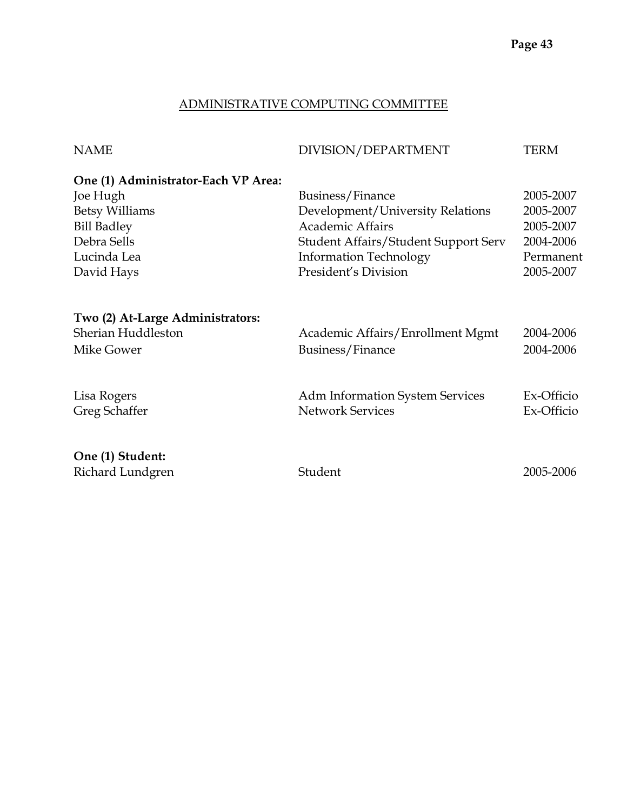# ADMINISTRATIVE COMPUTING COMMITTEE

| <b>NAME</b>                         | DIVISION/DEPARTMENT                         | TERM       |
|-------------------------------------|---------------------------------------------|------------|
| One (1) Administrator-Each VP Area: |                                             |            |
| Joe Hugh                            | Business/Finance                            | 2005-2007  |
| <b>Betsy Williams</b>               | Development/University Relations            | 2005-2007  |
| <b>Bill Badley</b>                  | <b>Academic Affairs</b>                     | 2005-2007  |
| Debra Sells                         | <b>Student Affairs/Student Support Serv</b> | 2004-2006  |
| Lucinda Lea                         | <b>Information Technology</b>               | Permanent  |
| David Hays                          | President's Division                        | 2005-2007  |
| Two (2) At-Large Administrators:    |                                             |            |
| Sherian Huddleston                  | Academic Affairs/Enrollment Mgmt            | 2004-2006  |
| Mike Gower                          | Business/Finance                            | 2004-2006  |
| Lisa Rogers                         | Adm Information System Services             | Ex-Officio |
| Greg Schaffer                       | <b>Network Services</b>                     | Ex-Officio |
| One (1) Student:                    |                                             |            |
| Richard Lundgren                    | Student                                     | 2005-2006  |